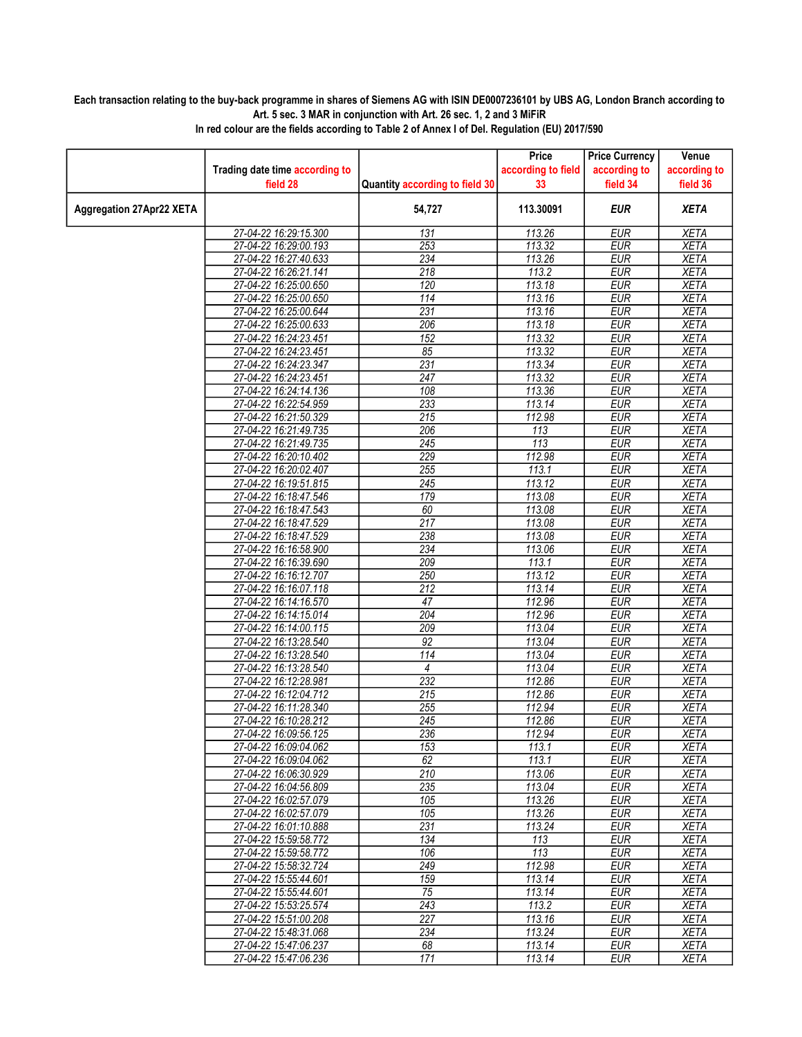## Each transaction relating to the buy-back programme in shares of Siemens AG with ISIN DE0007236101 by UBS AG, London Branch according to Art. 5 sec. 3 MAR in conjunction with Art. 26 sec. 1, 2 and 3 MiFiR

|                                 |                                                |                                | Price              | <b>Price Currency</b> | Venue        |
|---------------------------------|------------------------------------------------|--------------------------------|--------------------|-----------------------|--------------|
|                                 | Trading date time according to                 |                                | according to field | according to          | according to |
|                                 | field 28                                       | Quantity according to field 30 | 33                 | field 34              | field 36     |
| <b>Aggregation 27Apr22 XETA</b> |                                                | 54,727                         | 113.30091          | <b>EUR</b>            | <b>XETA</b>  |
|                                 | 27-04-22 16:29:15.300                          | 131                            | 113.26             | <b>EUR</b>            | <b>XETA</b>  |
|                                 | 27-04-22 16:29:00.193                          | 253                            | 113.32             | <b>EUR</b>            | <b>XETA</b>  |
|                                 | 27-04-22 16:27:40.633                          | 234                            | 113.26             | <b>EUR</b>            | <b>XETA</b>  |
|                                 | 27-04-22 16:26:21.141                          | 218                            | 113.2              | <b>EUR</b>            | <b>XETA</b>  |
|                                 | 27-04-22 16:25:00.650                          | 120                            | 113.18             | <b>EUR</b>            | <b>XETA</b>  |
|                                 | 27-04-22 16:25:00.650                          | 114                            | 113.16             | <b>EUR</b>            | <b>XETA</b>  |
|                                 | 27-04-22 16:25:00.644                          | 231                            | 113.16             | <b>EUR</b>            | <b>XETA</b>  |
|                                 | 27-04-22 16:25:00.633                          | 206                            | 113.18             | <b>EUR</b>            | <b>XETA</b>  |
|                                 | 27-04-22 16:24:23.451                          | 152                            | 113.32             | <b>EUR</b>            | <b>XETA</b>  |
|                                 | 27-04-22 16:24:23.451                          | 85                             | 113.32             | <b>EUR</b>            | <b>XETA</b>  |
|                                 | 27-04-22 16:24:23.347                          | 231                            | 113.34             | <b>EUR</b>            | <b>XETA</b>  |
|                                 | 27-04-22 16:24:23.451                          | 247                            | 113.32             | <b>EUR</b>            | <b>XETA</b>  |
|                                 | 27-04-22 16:24:14.136                          | 108                            | 113.36             | <b>EUR</b>            | <b>XETA</b>  |
|                                 | 27-04-22 16:22:54.959                          | 233                            | 113.14             | <b>EUR</b>            | <b>XETA</b>  |
|                                 | 27-04-22 16:21:50.329                          | $\overline{215}$               | 112.98             | <b>EUR</b>            | <b>XETA</b>  |
|                                 | 27-04-22 16:21:49.735                          | 206                            | 113                | <b>EUR</b>            | <b>XETA</b>  |
|                                 | 27-04-22 16:21:49.735                          | $\overline{245}$               | $\overline{113}$   | <b>EUR</b>            | <b>XETA</b>  |
|                                 | 27-04-22 16:20:10.402                          | 229                            | 112.98             | <b>EUR</b>            | <b>XETA</b>  |
|                                 | 27-04-22 16:20:02.407                          | 255                            | 113.1              | <b>EUR</b>            | <b>XETA</b>  |
|                                 | 27-04-22 16:19:51.815                          | 245                            | 113.12             | <b>EUR</b>            | <b>XETA</b>  |
|                                 | 27-04-22 16:18:47.546                          | 179                            | 113.08             | <b>EUR</b>            | <b>XETA</b>  |
|                                 | 27-04-22 16:18:47.543                          | 60                             | 113.08             | <b>EUR</b>            | <b>XETA</b>  |
|                                 | 27-04-22 16:18:47.529                          | 217                            | 113.08             | <b>EUR</b>            | <b>XETA</b>  |
|                                 | 27-04-22 16:18:47.529                          | 238                            | 113.08             | <b>EUR</b>            | <b>XETA</b>  |
|                                 | 27-04-22 16:16:58.900                          | 234                            | 113.06             | <b>EUR</b>            | <b>XETA</b>  |
|                                 | 27-04-22 16:16:39.690                          | 209                            | 113.1              | <b>EUR</b>            | <b>XETA</b>  |
|                                 | 27-04-22 16:16:12.707                          | 250                            | 113.12             | <b>EUR</b>            | <b>XETA</b>  |
|                                 | 27-04-22 16:16:07.118                          | 212                            | 113.14             | <b>EUR</b>            | <b>XETA</b>  |
|                                 | 27-04-22 16:14:16.570                          | 47                             | 112.96             | <b>EUR</b>            | <b>XETA</b>  |
|                                 | 27-04-22 16:14:15.014                          | 204                            | 112.96             | <b>EUR</b>            | <b>XETA</b>  |
|                                 | 27-04-22 16:14:00.115                          | 209                            | 113.04             | <b>EUR</b>            | <b>XETA</b>  |
|                                 | 27-04-22 16:13:28.540                          | 92                             | 113.04             | <b>EUR</b>            | <b>XETA</b>  |
|                                 | 27-04-22 16:13:28.540                          | $\overline{114}$               | 113.04             | <b>EUR</b>            | <b>XETA</b>  |
|                                 | 27-04-22 16:13:28.540                          | $\overline{4}$                 | 113.04             | <b>EUR</b>            | <b>XETA</b>  |
|                                 | 27-04-22 16:12:28.981                          | 232                            | 112.86             | <b>EUR</b>            | <b>XETA</b>  |
|                                 | 27-04-22 16:12:04.712                          | 215                            | 112.86             | <b>EUR</b>            | <b>XETA</b>  |
|                                 | 27-04-22 16:11:28.340                          | 255                            | 112.94             | <b>EUR</b>            | <b>XETA</b>  |
|                                 | 27-04-22 16:10:28.212                          | 245                            | 112.86             | <b>EUR</b>            | <b>XETA</b>  |
|                                 | 27-04-22 16:09:56.125                          | 236                            | 112.94             | <b>EUR</b>            | <b>XETA</b>  |
|                                 | 27-04-22 16:09:04.062                          | 153                            | 113.1              | EUR                   | <b>XETA</b>  |
|                                 | 27-04-22 16:09:04.062                          | 62                             | 113.1              |                       |              |
|                                 |                                                | $\overline{210}$               | 113.06             | EUR<br><b>EUR</b>     | XETA         |
|                                 | 27-04-22 16:06:30.929<br>27-04-22 16:04:56.809 | 235                            |                    | <b>EUR</b>            | <b>XETA</b>  |
|                                 |                                                |                                | 113.04             |                       | <b>XETA</b>  |
|                                 | 27-04-22 16:02:57.079                          | 105                            | 113.26             | <b>EUR</b>            | <b>XETA</b>  |
|                                 | 27-04-22 16:02:57.079                          | 105                            | 113.26             | <b>EUR</b>            | <b>XETA</b>  |
|                                 | 27-04-22 16:01:10.888                          | 231                            | 113.24             | <b>EUR</b>            | <b>XETA</b>  |
|                                 | 27-04-22 15:59:58.772                          | 134                            | 113                | EUR                   | <b>XETA</b>  |
|                                 | 27-04-22 15:59:58.772                          | 106                            | 113                | <b>EUR</b>            | <b>XETA</b>  |
|                                 | 27-04-22 15:58:32.724                          | 249                            | 112.98             | <b>EUR</b>            | <b>XETA</b>  |
|                                 | 27-04-22 15:55:44.601                          | 159                            | 113.14             | EUR                   | <b>XETA</b>  |
|                                 | 27-04-22 15:55:44.601                          | $\overline{75}$                | 113.14             | <b>EUR</b>            | <b>XETA</b>  |
|                                 | 27-04-22 15:53:25.574                          | 243                            | 113.2              | EUR                   | <b>XETA</b>  |
|                                 | 27-04-22 15:51:00.208                          | 227                            | 113.16             | EUR                   | <b>XETA</b>  |
|                                 | 27-04-22 15:48:31.068                          | 234                            | 113.24             | <b>EUR</b>            | <b>XETA</b>  |
|                                 | 27-04-22 15:47:06.237                          | 68                             | 113.14             | <b>EUR</b>            | <b>XETA</b>  |
|                                 | 27-04-22 15:47:06.236                          | 171                            | 113.14             | EUR                   | <b>XETA</b>  |

In red colour are the fields according to Table 2 of Annex I of Del. Regulation (EU) 2017/590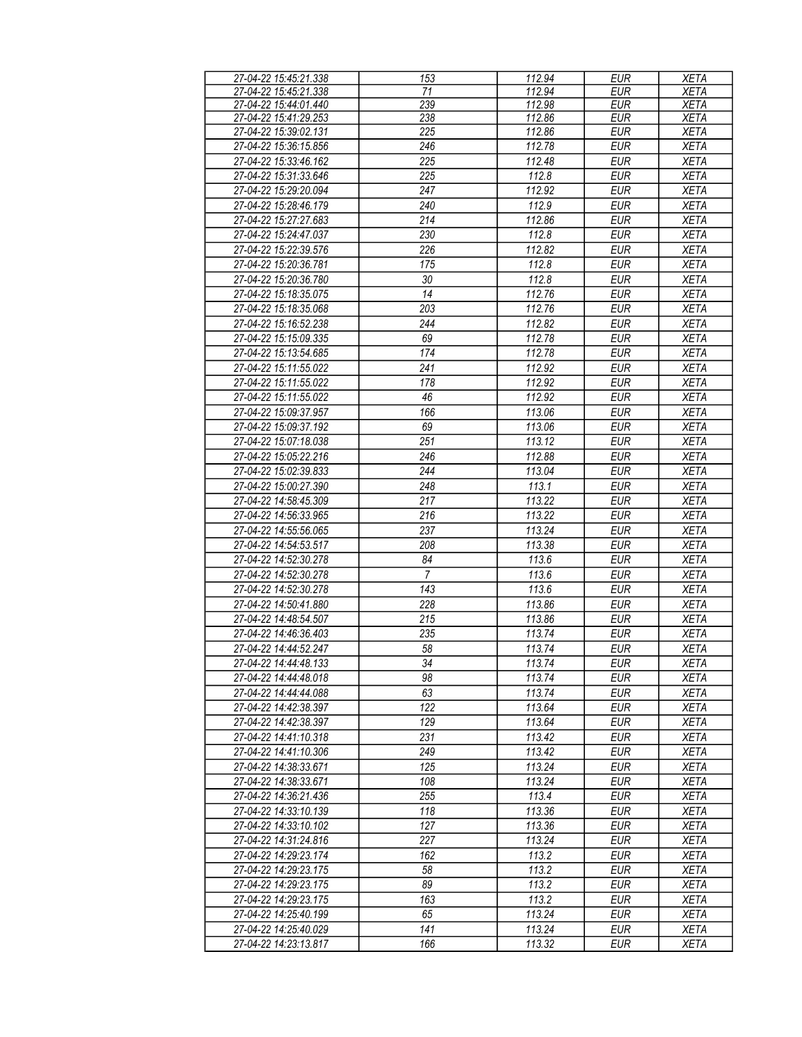| 27-04-22 15:45:21.338 | 153            | 112.94 | <b>EUR</b> | <b>XETA</b> |
|-----------------------|----------------|--------|------------|-------------|
| 27-04-22 15:45:21.338 | 71             | 112.94 | <b>EUR</b> | <b>XETA</b> |
| 27-04-22 15:44:01.440 | 239            | 112.98 | <b>EUR</b> | <b>XETA</b> |
| 27-04-22 15:41:29.253 | 238            | 112.86 | <b>EUR</b> | <b>XETA</b> |
| 27-04-22 15:39:02.131 | 225            | 112.86 | <b>EUR</b> | <b>XETA</b> |
| 27-04-22 15:36:15.856 | 246            | 112.78 | <b>EUR</b> | <b>XETA</b> |
|                       |                |        |            |             |
| 27-04-22 15:33:46.162 | 225            | 112.48 | <b>EUR</b> | <b>XETA</b> |
| 27-04-22 15:31:33.646 | 225            | 112.8  | <b>EUR</b> | <b>XETA</b> |
| 27-04-22 15:29:20.094 | 247            | 112.92 | <b>EUR</b> | <b>XETA</b> |
| 27-04-22 15:28:46.179 | 240            | 112.9  | <b>EUR</b> | <b>XETA</b> |
| 27-04-22 15:27:27.683 | 214            | 112.86 | <b>EUR</b> | <b>XETA</b> |
| 27-04-22 15:24:47.037 | 230            | 112.8  | <b>EUR</b> | <b>XETA</b> |
| 27-04-22 15:22:39.576 | 226            | 112.82 | <b>EUR</b> | <b>XETA</b> |
| 27-04-22 15:20:36.781 | 175            | 112.8  | <b>EUR</b> | <b>XETA</b> |
| 27-04-22 15:20:36.780 | 30             | 112.8  | <b>EUR</b> | <b>XETA</b> |
| 27-04-22 15:18:35.075 | 14             | 112.76 | <b>EUR</b> | <b>XETA</b> |
|                       |                |        |            |             |
| 27-04-22 15:18:35.068 | 203            | 112.76 | <b>EUR</b> | <b>XETA</b> |
| 27-04-22 15:16:52.238 | 244            | 112.82 | <b>EUR</b> | <b>XETA</b> |
| 27-04-22 15:15:09.335 | 69             | 112.78 | <b>EUR</b> | <b>XETA</b> |
| 27-04-22 15:13:54.685 | 174            | 112.78 | <b>EUR</b> | <b>XETA</b> |
| 27-04-22 15:11:55.022 | 241            | 112.92 | <b>EUR</b> | <b>XETA</b> |
| 27-04-22 15:11:55.022 | 178            | 112.92 | <b>EUR</b> | <b>XETA</b> |
| 27-04-22 15:11:55.022 | 46             | 112.92 | <b>EUR</b> | <b>XETA</b> |
| 27-04-22 15:09:37.957 | 166            | 113.06 | <b>EUR</b> | <b>XETA</b> |
| 27-04-22 15:09:37.192 | 69             | 113.06 | <b>EUR</b> | <b>XETA</b> |
|                       |                |        |            |             |
| 27-04-22 15:07:18.038 | 251            | 113.12 | <b>EUR</b> | <b>XETA</b> |
| 27-04-22 15:05:22.216 | 246            | 112.88 | <b>EUR</b> | <b>XETA</b> |
| 27-04-22 15:02:39.833 | 244            | 113.04 | <b>EUR</b> | <b>XETA</b> |
| 27-04-22 15:00:27.390 | 248            | 113.1  | <b>EUR</b> | <b>XETA</b> |
| 27-04-22 14:58:45.309 | 217            | 113.22 | <b>EUR</b> | <b>XETA</b> |
| 27-04-22 14:56:33.965 | 216            | 113.22 | <b>EUR</b> | <b>XETA</b> |
| 27-04-22 14:55:56.065 | 237            | 113.24 | <b>EUR</b> | <b>XETA</b> |
| 27-04-22 14:54:53.517 | 208            | 113.38 | <b>EUR</b> | <b>XETA</b> |
| 27-04-22 14:52:30.278 | 84             | 113.6  | <b>EUR</b> | <b>XETA</b> |
| 27-04-22 14:52:30.278 | $\overline{7}$ | 113.6  | <b>EUR</b> | <b>XETA</b> |
|                       |                | 113.6  | <b>EUR</b> |             |
| 27-04-22 14:52:30.278 | 143            |        |            | <b>XETA</b> |
| 27-04-22 14:50:41.880 | 228            | 113.86 | <b>EUR</b> | <b>XETA</b> |
| 27-04-22 14:48:54.507 | 215            | 113.86 | <b>EUR</b> | <b>XETA</b> |
| 27-04-22 14:46:36.403 | 235            | 113.74 | <b>EUR</b> | <b>XETA</b> |
| 27-04-22 14:44:52.247 | 58             | 113.74 | <b>EUR</b> | <b>XETA</b> |
| 27-04-22 14:44:48.133 | 34             | 113.74 | EUR        | <b>XETA</b> |
| 27-04-22 14:44:48.018 | 98             | 113.74 | <b>EUR</b> | <b>XETA</b> |
| 27-04-22 14:44:44.088 | 63             | 113.74 | EUR        | <b>XETA</b> |
| 27-04-22 14:42:38.397 | 122            | 113.64 | EUR        | <b>XETA</b> |
| 27-04-22 14:42:38.397 | 129            | 113.64 | <b>EUR</b> | XETA        |
| 27-04-22 14:41:10.318 | 231            | 113.42 | <b>EUR</b> | XETA        |
|                       | 249            | 113.42 | EUR        |             |
| 27-04-22 14:41:10.306 |                |        |            | XETA        |
| 27-04-22 14:38:33.671 | 125            | 113.24 | <b>EUR</b> | <b>XETA</b> |
| 27-04-22 14:38:33.671 | 108            | 113.24 | <b>EUR</b> | <b>XETA</b> |
| 27-04-22 14:36:21.436 | 255            | 113.4  | <b>EUR</b> | <b>XETA</b> |
| 27-04-22 14:33:10.139 | 118            | 113.36 | EUR        | <b>XETA</b> |
| 27-04-22 14:33:10.102 | 127            | 113.36 | <b>EUR</b> | <b>XETA</b> |
| 27-04-22 14:31:24.816 | 227            | 113.24 | <b>EUR</b> | <b>XETA</b> |
| 27-04-22 14:29:23.174 | 162            | 113.2  | <b>EUR</b> | XETA        |
| 27-04-22 14:29:23.175 | 58             | 113.2  | <b>EUR</b> | XETA        |
| 27-04-22 14:29:23.175 | 89             | 113.2  | <b>EUR</b> | <b>XETA</b> |
| 27-04-22 14:29:23.175 | 163            | 113.2  | <b>EUR</b> | <b>XETA</b> |
|                       |                |        |            |             |
| 27-04-22 14:25:40.199 | 65             | 113.24 | <b>EUR</b> | <b>XETA</b> |
| 27-04-22 14:25:40.029 | 141            | 113.24 | <b>EUR</b> | <b>XETA</b> |
| 27-04-22 14:23:13.817 | 166            | 113.32 | EUR        | <b>XETA</b> |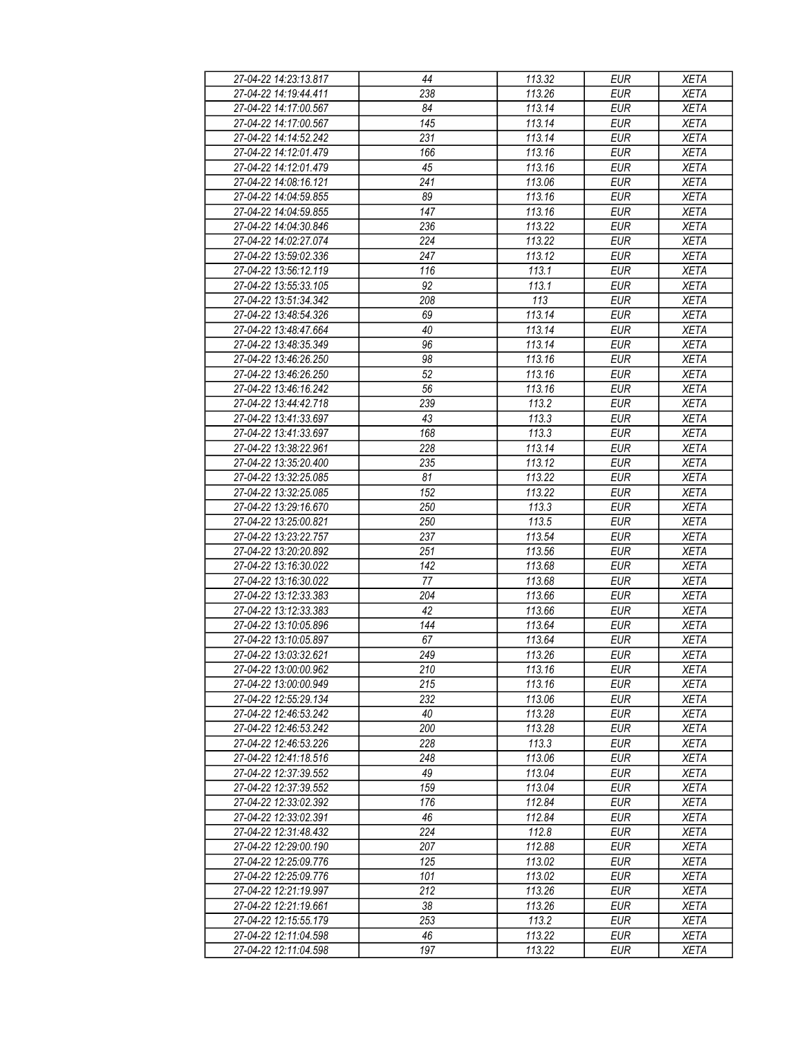| 27-04-22 14:23:13.817 | 44              | 113.32 | <b>EUR</b> | <b>XETA</b> |
|-----------------------|-----------------|--------|------------|-------------|
| 27-04-22 14:19:44.411 | 238             | 113.26 | <b>EUR</b> | <b>XETA</b> |
| 27-04-22 14:17:00.567 | $\overline{84}$ | 113.14 | <b>EUR</b> | <b>XETA</b> |
| 27-04-22 14:17:00.567 | 145             | 113.14 | <b>EUR</b> | <b>XETA</b> |
| 27-04-22 14:14:52.242 | 231             | 113.14 | <b>EUR</b> | <b>XETA</b> |
| 27-04-22 14:12:01.479 | 166             | 113.16 | <b>EUR</b> | <b>XETA</b> |
| 27-04-22 14:12:01.479 |                 | 113.16 | <b>EUR</b> |             |
|                       | 45              |        |            | <b>XETA</b> |
| 27-04-22 14:08:16.121 | 241             | 113.06 | <b>EUR</b> | <b>XETA</b> |
| 27-04-22 14:04:59.855 | 89              | 113.16 | <b>EUR</b> | <b>XETA</b> |
| 27-04-22 14:04:59.855 | 147             | 113.16 | <b>EUR</b> | <b>XETA</b> |
| 27-04-22 14:04:30.846 | 236             | 113.22 | <b>EUR</b> | <b>XETA</b> |
| 27-04-22 14:02:27.074 | 224             | 113.22 | <b>EUR</b> | <b>XETA</b> |
| 27-04-22 13:59:02.336 | 247             | 113.12 | <b>EUR</b> | <b>XETA</b> |
| 27-04-22 13:56:12.119 | 116             | 113.1  | <b>EUR</b> | <b>XETA</b> |
| 27-04-22 13:55:33.105 | 92              | 113.1  | <b>EUR</b> | <b>XETA</b> |
| 27-04-22 13:51:34.342 | 208             | 113    | <b>EUR</b> | <b>XETA</b> |
| 27-04-22 13:48:54.326 | 69              | 113.14 | <b>EUR</b> | <b>XETA</b> |
| 27-04-22 13:48:47.664 | 40              | 113.14 | <b>EUR</b> | <b>XETA</b> |
| 27-04-22 13:48:35.349 | 96              | 113.14 | <b>EUR</b> | <b>XETA</b> |
| 27-04-22 13:46:26.250 | 98              | 113.16 | <b>EUR</b> | <b>XETA</b> |
| 27-04-22 13:46:26.250 | 52              | 113.16 | <b>EUR</b> | <b>XETA</b> |
| 27-04-22 13:46:16.242 | 56              | 113.16 | <b>EUR</b> | <b>XETA</b> |
| 27-04-22 13:44:42.718 |                 | 113.2  |            | <b>XETA</b> |
|                       | 239             |        | <b>EUR</b> |             |
| 27-04-22 13:41:33.697 | 43              | 113.3  | <b>EUR</b> | <b>XETA</b> |
| 27-04-22 13:41:33.697 | 168             | 113.3  | <b>EUR</b> | <b>XETA</b> |
| 27-04-22 13:38:22.961 | 228             | 113.14 | <b>EUR</b> | <b>XETA</b> |
| 27-04-22 13:35:20.400 | 235             | 113.12 | <b>EUR</b> | <b>XETA</b> |
| 27-04-22 13:32:25.085 | 81              | 113.22 | <b>EUR</b> | <b>XETA</b> |
| 27-04-22 13:32:25.085 | 152             | 113.22 | <b>EUR</b> | <b>XETA</b> |
| 27-04-22 13:29:16.670 | 250             | 113.3  | <b>EUR</b> | <b>XETA</b> |
| 27-04-22 13:25:00.821 | 250             | 113.5  | <b>EUR</b> | <b>XETA</b> |
| 27-04-22 13:23:22.757 | 237             | 113.54 | <b>EUR</b> | <b>XETA</b> |
| 27-04-22 13:20:20.892 | 251             | 113.56 | <b>EUR</b> | <b>XETA</b> |
| 27-04-22 13:16:30.022 | 142             | 113.68 | <b>EUR</b> | <b>XETA</b> |
| 27-04-22 13:16:30.022 | 77              | 113.68 | <b>EUR</b> | <b>XETA</b> |
| 27-04-22 13:12:33.383 | 204             | 113.66 | <b>EUR</b> | <b>XETA</b> |
| 27-04-22 13:12:33.383 | 42              | 113.66 | <b>EUR</b> | <b>XETA</b> |
| 27-04-22 13:10:05.896 | 144             | 113.64 | <b>EUR</b> | <b>XETA</b> |
| 27-04-22 13:10:05.897 | 67              | 113.64 | <b>EUR</b> | <b>XETA</b> |
| 27-04-22 13:03:32.621 | 249             | 113.26 | <b>EUR</b> | <b>XETA</b> |
| 27-04-22 13:00:00.962 | 210             | 113.16 | EUR        | XETA        |
| 27-04-22 13:00:00.949 | 215             | 113.16 | <b>EUR</b> |             |
|                       |                 |        |            | <b>XETA</b> |
| 27-04-22 12:55:29.134 | 232             | 113.06 | <b>EUR</b> | <b>XETA</b> |
| 27-04-22 12:46:53.242 | 40              | 113.28 | <b>EUR</b> | <b>XETA</b> |
| 27-04-22 12:46:53.242 | 200             | 113.28 | <b>EUR</b> | <b>XETA</b> |
| 27-04-22 12:46:53.226 | 228             | 113.3  | <b>EUR</b> | <b>XETA</b> |
| 27-04-22 12:41:18.516 | 248             | 113.06 | <b>EUR</b> | <b>XETA</b> |
| 27-04-22 12:37:39.552 | 49              | 113.04 | <b>EUR</b> | <b>XETA</b> |
| 27-04-22 12:37:39.552 | 159             | 113.04 | <b>EUR</b> | <b>XETA</b> |
| 27-04-22 12:33:02.392 | 176             | 112.84 | EUR        | <b>XETA</b> |
| 27-04-22 12:33:02.391 | 46              | 112.84 | <b>EUR</b> | <b>XETA</b> |
| 27-04-22 12:31:48.432 | 224             | 112.8  | <b>EUR</b> | <b>XETA</b> |
| 27-04-22 12:29:00.190 | 207             | 112.88 | <b>EUR</b> | <b>XETA</b> |
| 27-04-22 12:25:09.776 | 125             | 113.02 | <b>EUR</b> | <b>XETA</b> |
| 27-04-22 12:25:09.776 | 101             | 113.02 | <b>EUR</b> | <b>XETA</b> |
| 27-04-22 12:21:19.997 | 212             | 113.26 | <b>EUR</b> | <b>XETA</b> |
| 27-04-22 12:21:19.661 | 38              | 113.26 | <b>EUR</b> | <b>XETA</b> |
| 27-04-22 12:15:55.179 | 253             | 113.2  | EUR        | XETA        |
|                       | 46              |        |            |             |
| 27-04-22 12:11:04.598 |                 | 113.22 | EUR        | <b>XETA</b> |
| 27-04-22 12:11:04.598 | 197             | 113.22 | EUR        | <b>XETA</b> |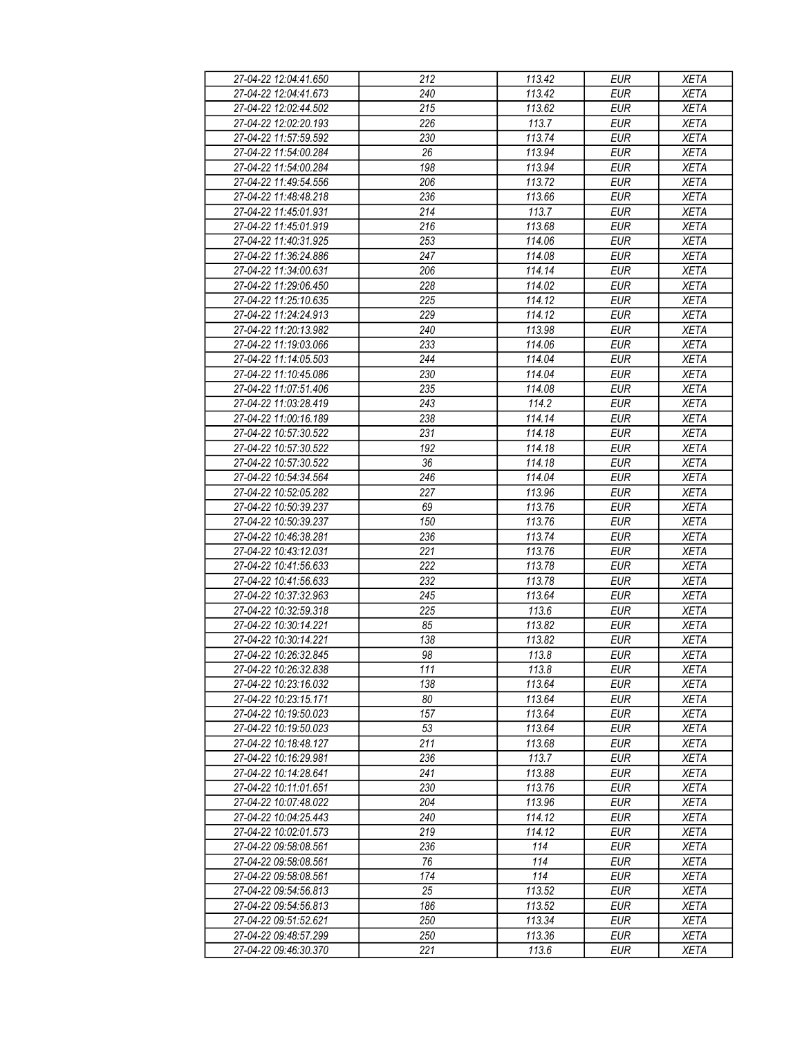| 27-04-22 12:04:41.650 | 212 | 113.42 | EUR        | <b>XETA</b> |
|-----------------------|-----|--------|------------|-------------|
| 27-04-22 12:04:41.673 | 240 | 113.42 | <b>EUR</b> | <b>XETA</b> |
| 27-04-22 12:02:44.502 | 215 | 113.62 | <b>EUR</b> | <b>XETA</b> |
| 27-04-22 12:02:20.193 | 226 | 113.7  | <b>EUR</b> | <b>XETA</b> |
|                       | 230 | 113.74 |            |             |
| 27-04-22 11:57:59.592 |     |        | <b>EUR</b> | <b>XETA</b> |
| 27-04-22 11:54:00.284 | 26  | 113.94 | <b>EUR</b> | <b>XETA</b> |
| 27-04-22 11:54:00.284 | 198 | 113.94 | <b>EUR</b> | <b>XETA</b> |
| 27-04-22 11:49:54.556 | 206 | 113.72 | <b>EUR</b> | <b>XETA</b> |
| 27-04-22 11:48:48.218 | 236 | 113.66 | <b>EUR</b> | <b>XETA</b> |
| 27-04-22 11:45:01.931 | 214 | 113.7  | <b>EUR</b> | <b>XETA</b> |
| 27-04-22 11:45:01.919 | 216 | 113.68 | <b>EUR</b> | <b>XETA</b> |
| 27-04-22 11:40:31.925 | 253 | 114.06 | <b>EUR</b> | <b>XETA</b> |
| 27-04-22 11:36:24.886 | 247 | 114.08 | <b>EUR</b> | <b>XETA</b> |
| 27-04-22 11:34:00.631 | 206 | 114.14 | <b>EUR</b> | <b>XETA</b> |
| 27-04-22 11:29:06.450 | 228 | 114.02 | <b>EUR</b> | <b>XETA</b> |
| 27-04-22 11:25:10.635 | 225 | 114.12 | <b>EUR</b> | <b>XETA</b> |
| 27-04-22 11:24:24.913 | 229 | 114.12 | <b>EUR</b> | <b>XETA</b> |
| 27-04-22 11:20:13.982 | 240 | 113.98 | <b>EUR</b> | <b>XETA</b> |
| 27-04-22 11:19:03.066 | 233 | 114.06 | <b>EUR</b> | <b>XETA</b> |
| 27-04-22 11:14:05.503 | 244 | 114.04 | <b>EUR</b> | <b>XETA</b> |
| 27-04-22 11:10:45.086 | 230 | 114.04 | <b>EUR</b> | <b>XETA</b> |
| 27-04-22 11:07:51.406 | 235 | 114.08 | <b>EUR</b> | <b>XETA</b> |
| 27-04-22 11:03:28.419 | 243 | 114.2  | <b>EUR</b> | <b>XETA</b> |
| 27-04-22 11:00:16.189 | 238 | 114.14 | <b>EUR</b> | <b>XETA</b> |
| 27-04-22 10:57:30.522 | 231 | 114.18 | <b>EUR</b> | <b>XETA</b> |
| 27-04-22 10:57:30.522 | 192 | 114.18 | <b>EUR</b> | <b>XETA</b> |
| 27-04-22 10:57:30.522 | 36  | 114.18 | <b>EUR</b> | <b>XETA</b> |
| 27-04-22 10:54:34.564 | 246 | 114.04 | <b>EUR</b> | <b>XETA</b> |
|                       | 227 |        |            |             |
| 27-04-22 10:52:05.282 |     | 113.96 | <b>EUR</b> | <b>XETA</b> |
| 27-04-22 10:50:39.237 | 69  | 113.76 | <b>EUR</b> | <b>XETA</b> |
| 27-04-22 10:50:39.237 | 150 | 113.76 | <b>EUR</b> | <b>XETA</b> |
| 27-04-22 10:46:38.281 | 236 | 113.74 | <b>EUR</b> | <b>XETA</b> |
| 27-04-22 10:43:12.031 | 221 | 113.76 | <b>EUR</b> | <b>XETA</b> |
| 27-04-22 10:41:56.633 | 222 | 113.78 | <b>EUR</b> | <b>XETA</b> |
| 27-04-22 10:41:56.633 | 232 | 113.78 | <b>EUR</b> | <b>XETA</b> |
| 27-04-22 10:37:32.963 | 245 | 113.64 | <b>EUR</b> | <b>XETA</b> |
| 27-04-22 10:32:59.318 | 225 | 113.6  | <b>EUR</b> | <b>XETA</b> |
| 27-04-22 10:30:14.221 | 85  | 113.82 | <b>EUR</b> | <b>XETA</b> |
| 27-04-22 10:30:14.221 | 138 | 113.82 | <b>EUR</b> | <b>XETA</b> |
| 27-04-22 10:26:32.845 | 98  | 113.8  | <b>EUR</b> | <b>XETA</b> |
| 27-04-22 10:26:32.838 | 111 | 113.8  | EUR        | XETA        |
| 27-04-22 10:23:16.032 | 138 | 113.64 | EUR        | <b>XETA</b> |
| 27-04-22 10:23:15.171 | 80  | 113.64 | <b>EUR</b> | <b>XETA</b> |
| 27-04-22 10:19:50.023 | 157 | 113.64 | <b>EUR</b> | <b>XETA</b> |
| 27-04-22 10:19:50.023 | 53  | 113.64 | <b>EUR</b> | <b>XETA</b> |
| 27-04-22 10:18:48.127 | 211 | 113.68 | <b>EUR</b> | <b>XETA</b> |
| 27-04-22 10:16:29.981 | 236 | 113.7  | <b>EUR</b> | <b>XETA</b> |
| 27-04-22 10:14:28.641 | 241 | 113.88 | <b>EUR</b> | <b>XETA</b> |
| 27-04-22 10:11:01.651 | 230 | 113.76 | <b>EUR</b> | <b>XETA</b> |
| 27-04-22 10:07:48.022 | 204 | 113.96 | EUR        | <b>XETA</b> |
| 27-04-22 10:04:25.443 | 240 | 114.12 | <b>EUR</b> | <b>XETA</b> |
| 27-04-22 10:02:01.573 | 219 | 114.12 | <b>EUR</b> | <b>XETA</b> |
| 27-04-22 09:58:08.561 | 236 | 114    | <b>EUR</b> | <b>XETA</b> |
| 27-04-22 09:58:08.561 | 76  | 114    | EUR        | <b>XETA</b> |
| 27-04-22 09:58:08.561 | 174 | 114    | <b>EUR</b> | <b>XETA</b> |
| 27-04-22 09:54:56.813 | 25  | 113.52 | <b>EUR</b> | <b>XETA</b> |
| 27-04-22 09:54:56.813 | 186 | 113.52 | <b>EUR</b> | <b>XETA</b> |
| 27-04-22 09:51:52.621 | 250 | 113.34 | <b>EUR</b> |             |
| 27-04-22 09:48:57.299 | 250 | 113.36 |            | <b>XETA</b> |
|                       |     |        | EUR        | XETA        |
| 27-04-22 09:46:30.370 | 221 | 113.6  | EUR        | XETA        |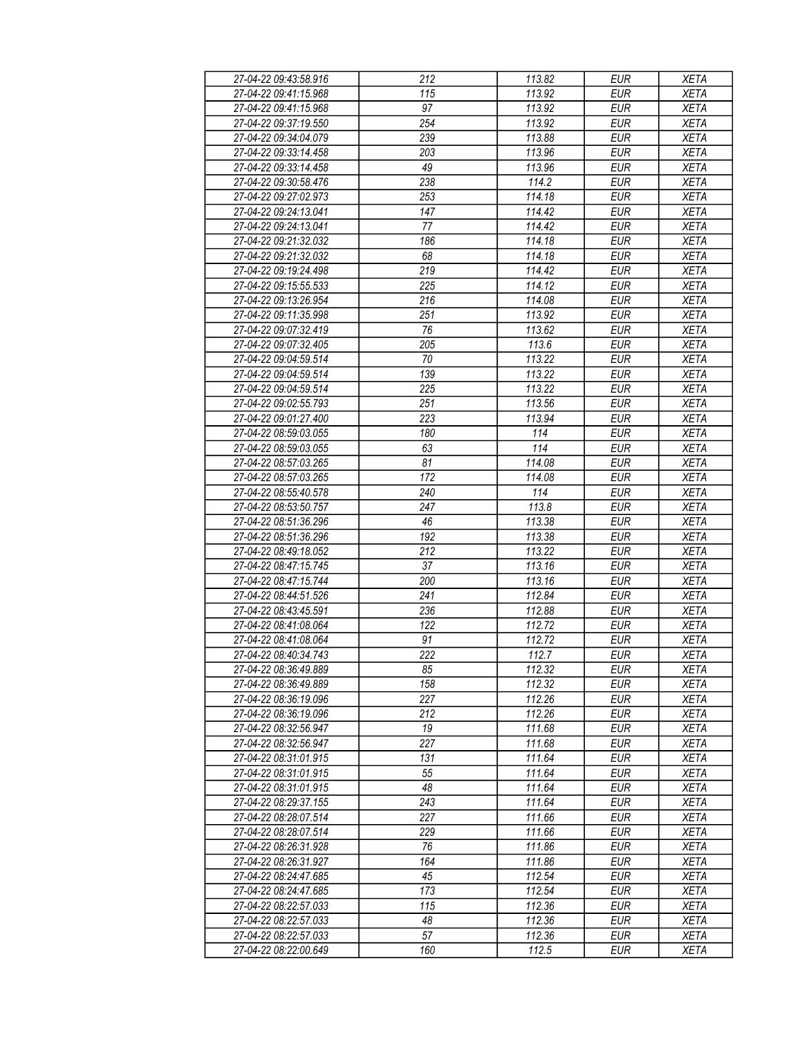| 27-04-22 09:43:58.916 | 212 | 113.82             | <b>EUR</b> | <b>XETA</b> |
|-----------------------|-----|--------------------|------------|-------------|
| 27-04-22 09:41:15.968 | 115 | 113.92             | <b>EUR</b> | <b>XETA</b> |
| 27-04-22 09:41:15.968 | 97  | 113.92             | <b>EUR</b> | <b>XETA</b> |
| 27-04-22 09:37:19.550 | 254 | 113.92             | <b>EUR</b> | <b>XETA</b> |
| 27-04-22 09:34:04.079 | 239 | 113.88             | <b>EUR</b> | <b>XETA</b> |
| 27-04-22 09:33:14.458 | 203 | 113.96             | <b>EUR</b> | <b>XETA</b> |
|                       |     |                    | <b>EUR</b> |             |
| 27-04-22 09:33:14.458 | 49  | 113.96             |            | <b>XETA</b> |
| 27-04-22 09:30:58.476 | 238 | 114.2              | <b>EUR</b> | <b>XETA</b> |
| 27-04-22 09:27:02.973 | 253 | 114.18             | <b>EUR</b> | <b>XETA</b> |
| 27-04-22 09:24:13.041 | 147 | 114.42             | <b>EUR</b> | <b>XETA</b> |
| 27-04-22 09:24:13.041 | 77  | 114.42             | <b>EUR</b> | <b>XETA</b> |
| 27-04-22 09:21:32.032 | 186 | 114.18             | <b>EUR</b> | <b>XETA</b> |
| 27-04-22 09:21:32.032 | 68  | 114.18             | <b>EUR</b> | <b>XETA</b> |
| 27-04-22 09:19:24.498 | 219 | 114.42             | <b>EUR</b> | <b>XETA</b> |
| 27-04-22 09:15:55.533 | 225 | 114.12             | <b>EUR</b> | <b>XETA</b> |
| 27-04-22 09:13:26.954 | 216 | 114.08             | <b>EUR</b> | <b>XETA</b> |
| 27-04-22 09:11:35.998 | 251 | 113.92             | <b>EUR</b> | <b>XETA</b> |
| 27-04-22 09:07:32.419 | 76  | 113.62             | <b>EUR</b> | <b>XETA</b> |
| 27-04-22 09:07:32.405 | 205 | 113.6              | <b>EUR</b> | <b>XETA</b> |
| 27-04-22 09:04:59.514 | 70  | 113.22             | <b>EUR</b> | <b>XETA</b> |
| 27-04-22 09:04:59.514 | 139 | 113.22             | <b>EUR</b> | <b>XETA</b> |
| 27-04-22 09:04:59.514 | 225 | 113.22             | <b>EUR</b> | <b>XETA</b> |
|                       |     |                    |            | <b>XETA</b> |
| 27-04-22 09:02:55.793 | 251 | 113.56             | <b>EUR</b> |             |
| 27-04-22 09:01:27.400 | 223 | 113.94             | <b>EUR</b> | <b>XETA</b> |
| 27-04-22 08:59:03.055 | 180 | 114                | <b>EUR</b> | <b>XETA</b> |
| 27-04-22 08:59:03.055 | 63  | 114                | <b>EUR</b> | <b>XETA</b> |
| 27-04-22 08:57:03.265 | 81  | 114.08             | <b>EUR</b> | <b>XETA</b> |
| 27-04-22 08:57:03.265 | 172 | 114.08             | <b>EUR</b> | <b>XETA</b> |
| 27-04-22 08:55:40.578 | 240 | 114                | <b>EUR</b> | <b>XETA</b> |
| 27-04-22 08:53:50.757 | 247 | 113.8              | <b>EUR</b> | <b>XETA</b> |
| 27-04-22 08:51:36.296 | 46  | 113.38             | <b>EUR</b> | <b>XETA</b> |
| 27-04-22 08:51:36.296 | 192 | 113.38             | <b>EUR</b> | <b>XETA</b> |
| 27-04-22 08:49:18.052 | 212 | 113.22             | <b>EUR</b> | <b>XETA</b> |
| 27-04-22 08:47:15.745 | 37  | 113.16             | <b>EUR</b> | <b>XETA</b> |
| 27-04-22 08:47:15.744 | 200 | 113.16             | <b>EUR</b> | <b>XETA</b> |
| 27-04-22 08:44:51.526 | 241 | 112.84             | <b>EUR</b> | <b>XETA</b> |
| 27-04-22 08:43:45.591 | 236 | 112.88             | <b>EUR</b> | <b>XETA</b> |
| 27-04-22 08:41:08.064 | 122 | 112.72             | <b>EUR</b> | <b>XETA</b> |
| 27-04-22 08:41:08.064 | 91  | 112.72             | <b>EUR</b> | <b>XETA</b> |
| 27-04-22 08:40:34.743 | 222 | $\overline{112.7}$ | <b>EUR</b> | <b>XETA</b> |
| 27-04-22 08:36:49.889 | 85  | 112.32             | EUR        | XETA        |
| 27-04-22 08:36:49.889 | 158 | 112.32             | <b>EUR</b> |             |
|                       |     |                    | <b>EUR</b> | <b>XETA</b> |
| 27-04-22 08:36:19.096 | 227 | 112.26             |            | <b>XETA</b> |
| 27-04-22 08:36:19.096 | 212 | 112.26             | <b>EUR</b> | <b>XETA</b> |
| 27-04-22 08:32:56.947 | 19  | 111.68             | EUR        | <b>XETA</b> |
| 27-04-22 08:32:56.947 | 227 | 111.68             | <b>EUR</b> | <b>XETA</b> |
| 27-04-22 08:31:01.915 | 131 | 111.64             | <b>EUR</b> | <b>XETA</b> |
| 27-04-22 08:31:01.915 | 55  | 111.64             | <b>EUR</b> | <b>XETA</b> |
| 27-04-22 08:31:01.915 | 48  | 111.64             | <b>EUR</b> | <b>XETA</b> |
| 27-04-22 08:29:37.155 | 243 | 111.64             | <b>EUR</b> | <b>XETA</b> |
| 27-04-22 08:28:07.514 | 227 | 111.66             | <b>EUR</b> | <b>XETA</b> |
| 27-04-22 08:28:07.514 | 229 | 111.66             | <b>EUR</b> | <b>XETA</b> |
| 27-04-22 08:26:31.928 | 76  | 111.86             | <b>EUR</b> | <b>XETA</b> |
| 27-04-22 08:26:31.927 | 164 | 111.86             | EUR        | <b>XETA</b> |
| 27-04-22 08:24:47.685 | 45  | 112.54             | EUR        | <b>XETA</b> |
| 27-04-22 08:24:47.685 | 173 | 112.54             | <b>EUR</b> | <b>XETA</b> |
| 27-04-22 08:22:57.033 | 115 | 112.36             | <b>EUR</b> | <b>XETA</b> |
| 27-04-22 08:22:57.033 | 48  | 112.36             | EUR        | XETA        |
|                       |     |                    |            |             |
| 27-04-22 08:22:57.033 | 57  | 112.36             | EUR        | <b>XETA</b> |
| 27-04-22 08:22:00.649 | 160 | 112.5              | EUR        | <b>XETA</b> |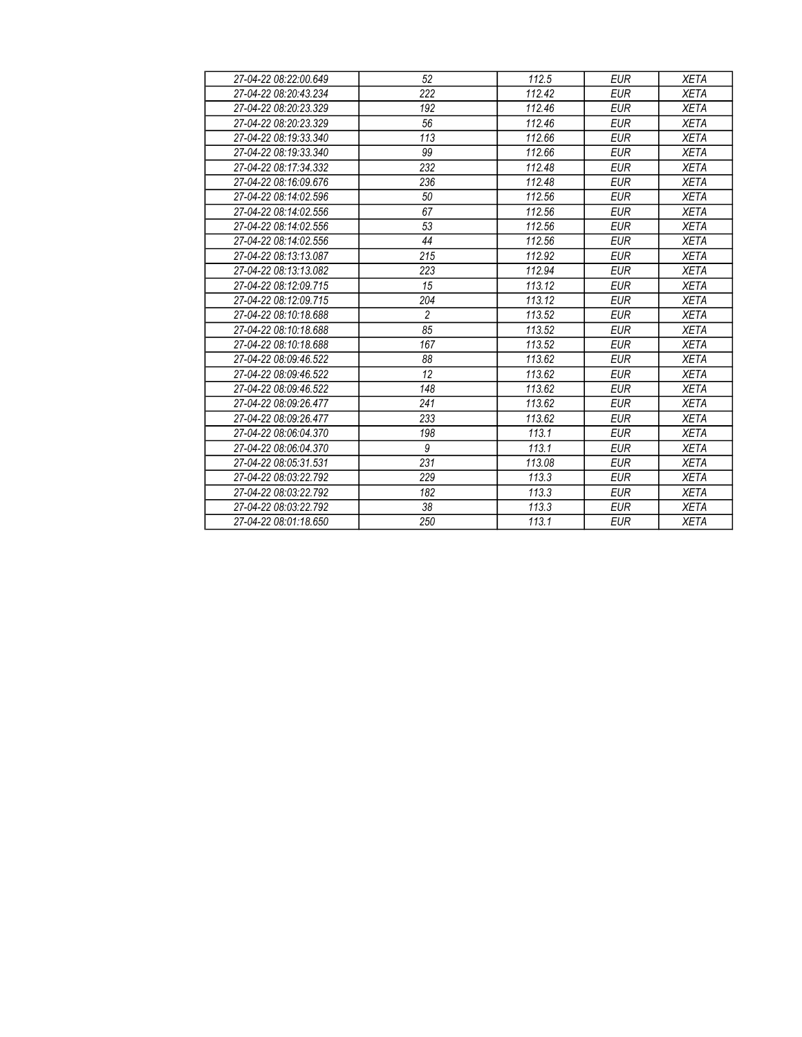| 27-04-22 08:22:00.649 | 52             | 112.5  | <b>EUR</b> | <b>XETA</b> |
|-----------------------|----------------|--------|------------|-------------|
| 27-04-22 08:20:43.234 | 222            | 112.42 | <b>EUR</b> | <b>XETA</b> |
| 27-04-22 08:20:23.329 | 192            | 112.46 | <b>EUR</b> | <b>XETA</b> |
| 27-04-22 08:20:23.329 | 56             | 112.46 | <b>EUR</b> | <b>XETA</b> |
| 27-04-22 08:19:33.340 | 113            | 112.66 | <b>EUR</b> | <b>XETA</b> |
| 27-04-22 08:19:33.340 | 99             | 112.66 | <b>EUR</b> | <b>XETA</b> |
| 27-04-22 08:17:34.332 | 232            | 112.48 | <b>EUR</b> | <b>XETA</b> |
| 27-04-22 08:16:09.676 | 236            | 112.48 | <b>EUR</b> | <b>XETA</b> |
| 27-04-22 08:14:02.596 | 50             | 112.56 | <b>EUR</b> | <b>XETA</b> |
| 27-04-22 08:14:02.556 | 67             | 112.56 | <b>EUR</b> | <b>XETA</b> |
| 27-04-22 08:14:02.556 | 53             | 112.56 | <b>EUR</b> | <b>XETA</b> |
| 27-04-22 08:14:02.556 | 44             | 112.56 | <b>EUR</b> | <b>XETA</b> |
| 27-04-22 08:13:13.087 | 215            | 112.92 | <b>EUR</b> | <b>XETA</b> |
| 27-04-22 08:13:13.082 | 223            | 112.94 | <b>EUR</b> | <b>XETA</b> |
| 27-04-22 08:12:09.715 | 15             | 113.12 | <b>EUR</b> | <b>XETA</b> |
| 27-04-22 08:12:09.715 | 204            | 113.12 | <b>EUR</b> | <b>XETA</b> |
| 27-04-22 08:10:18.688 | $\overline{c}$ | 113.52 | <b>EUR</b> | <b>XETA</b> |
| 27-04-22 08:10:18.688 | 85             | 113.52 | <b>EUR</b> | <b>XETA</b> |
| 27-04-22 08:10:18.688 | 167            | 113.52 | <b>EUR</b> | <b>XETA</b> |
| 27-04-22 08:09:46.522 | 88             | 113.62 | <b>EUR</b> | <b>XETA</b> |
| 27-04-22 08:09:46.522 | 12             | 113.62 | <b>EUR</b> | <b>XETA</b> |
| 27-04-22 08:09:46.522 | 148            | 113.62 | <b>EUR</b> | <b>XETA</b> |
| 27-04-22 08:09:26.477 | 241            | 113.62 | <b>EUR</b> | <b>XETA</b> |
| 27-04-22 08:09:26.477 | 233            | 113.62 | <b>EUR</b> | <b>XETA</b> |
| 27-04-22 08:06:04.370 | 198            | 113.1  | <b>EUR</b> | <b>XETA</b> |
| 27-04-22 08:06:04.370 | 9              | 113.1  | <b>EUR</b> | <b>XETA</b> |
| 27-04-22 08:05:31.531 | 231            | 113.08 | <b>EUR</b> | <b>XETA</b> |
| 27-04-22 08:03:22.792 | 229            | 113.3  | <b>EUR</b> | <b>XETA</b> |
| 27-04-22 08:03:22.792 | 182            | 113.3  | <b>EUR</b> | <b>XETA</b> |
| 27-04-22 08:03:22.792 | 38             | 113.3  | <b>EUR</b> | <b>XETA</b> |
| 27-04-22 08:01:18.650 | 250            | 113.1  | <b>EUR</b> | <b>XETA</b> |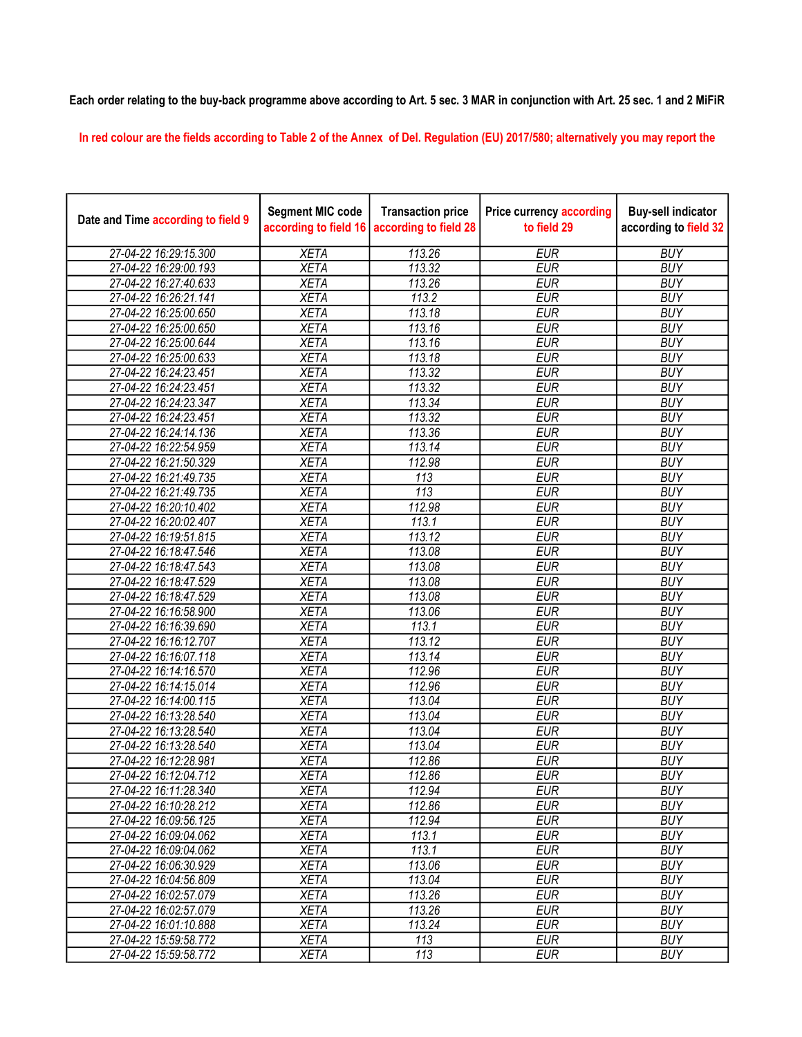## Each order relating to the buy-back programme above according to Art. 5 sec. 3 MAR in conjunction with Art. 25 sec. 1 and 2 MiFiR

In red colour are the fields according to Table 2 of the Annex of Del. Regulation (EU) 2017/580; alternatively you may report the

| Date and Time according to field 9 | <b>Segment MIC code</b><br>according to field 16 | <b>Transaction price</b><br>according to field 28 | <b>Price currency according</b><br>to field 29 | <b>Buy-sell indicator</b><br>according to field 32 |
|------------------------------------|--------------------------------------------------|---------------------------------------------------|------------------------------------------------|----------------------------------------------------|
| 27-04-22 16:29:15.300              | <b>XETA</b>                                      | 113.26                                            | <b>EUR</b>                                     | <b>BUY</b>                                         |
| 27-04-22 16:29:00.193              | <b>XETA</b>                                      | 113.32                                            | <b>EUR</b>                                     | <b>BUY</b>                                         |
| 27-04-22 16:27:40.633              | <b>XETA</b>                                      | 113.26                                            | <b>EUR</b>                                     | <b>BUY</b>                                         |
| 27-04-22 16:26:21.141              | <b>XETA</b>                                      | 113.2                                             | <b>EUR</b>                                     | <b>BUY</b>                                         |
| 27-04-22 16:25:00.650              | <b>XETA</b>                                      | 113.18                                            | <b>EUR</b>                                     | <b>BUY</b>                                         |
| 27-04-22 16:25:00.650              | <b>XETA</b>                                      | 113.16                                            | <b>EUR</b>                                     | <b>BUY</b>                                         |
| 27-04-22 16:25:00.644              | <b>XETA</b>                                      | 113.16                                            | <b>EUR</b>                                     | <b>BUY</b>                                         |
| 27-04-22 16:25:00.633              | <b>XETA</b>                                      | 113.18                                            | <b>EUR</b>                                     | <b>BUY</b>                                         |
| 27-04-22 16:24:23.451              | <b>XETA</b>                                      | 113.32                                            | <b>EUR</b>                                     | <b>BUY</b>                                         |
| 27-04-22 16:24:23.451              | <b>XETA</b>                                      | 113.32                                            | <b>EUR</b>                                     | <b>BUY</b>                                         |
| 27-04-22 16:24:23.347              | <b>XETA</b>                                      | 113.34                                            | <b>EUR</b>                                     | <b>BUY</b>                                         |
| 27-04-22 16:24:23.451              | <b>XETA</b>                                      | 113.32                                            | <b>EUR</b>                                     | <b>BUY</b>                                         |
| 27-04-22 16:24:14.136              | <b>XETA</b>                                      | 113.36                                            | <b>EUR</b>                                     | <b>BUY</b>                                         |
| 27-04-22 16:22:54.959              | <b>XETA</b>                                      | 113.14                                            | <b>EUR</b>                                     | <b>BUY</b>                                         |
| 27-04-22 16:21:50.329              | <b>XETA</b>                                      | 112.98                                            | <b>EUR</b>                                     | <b>BUY</b>                                         |
| 27-04-22 16:21:49.735              | <b>XETA</b>                                      | 113                                               | <b>EUR</b>                                     | <b>BUY</b>                                         |
| 27-04-22 16:21:49.735              | <b>XETA</b>                                      | $\overline{113}$                                  | <b>EUR</b>                                     | <b>BUY</b>                                         |
| 27-04-22 16:20:10.402              | <b>XETA</b>                                      | 112.98                                            | <b>EUR</b>                                     | <b>BUY</b>                                         |
| 27-04-22 16:20:02.407              | <b>XETA</b>                                      | 113.1                                             | <b>EUR</b>                                     | <b>BUY</b>                                         |
| 27-04-22 16:19:51.815              | <b>XETA</b>                                      | 113.12                                            | <b>EUR</b>                                     | <b>BUY</b>                                         |
| 27-04-22 16:18:47.546              | <b>XETA</b>                                      | 113.08                                            | <b>EUR</b>                                     | <b>BUY</b>                                         |
| 27-04-22 16:18:47.543              | <b>XETA</b>                                      | 113.08                                            | <b>EUR</b>                                     | <b>BUY</b>                                         |
| 27-04-22 16:18:47.529              | <b>XETA</b>                                      | 113.08                                            | <b>EUR</b>                                     | <b>BUY</b>                                         |
| 27-04-22 16:18:47.529              | <b>XETA</b>                                      | 113.08                                            | <b>EUR</b>                                     | <b>BUY</b>                                         |
| 27-04-22 16:16:58.900              | <b>XETA</b>                                      | 113.06                                            | <b>EUR</b>                                     | <b>BUY</b>                                         |
| 27-04-22 16:16:39.690              | <b>XETA</b>                                      | 113.1                                             | <b>EUR</b>                                     | <b>BUY</b>                                         |
| 27-04-22 16:16:12.707              | <b>XETA</b>                                      | 113.12                                            | <b>EUR</b>                                     | <b>BUY</b>                                         |
| 27-04-22 16:16:07.118              | <b>XETA</b>                                      | 113.14                                            | <b>EUR</b>                                     | <b>BUY</b>                                         |
| 27-04-22 16:14:16.570              | <b>XETA</b>                                      | 112.96                                            | <b>EUR</b>                                     | <b>BUY</b>                                         |
| 27-04-22 16:14:15.014              | <b>XETA</b>                                      | 112.96                                            | <b>EUR</b>                                     | <b>BUY</b>                                         |
| 27-04-22 16:14:00.115              | <b>XETA</b>                                      | 113.04                                            | <b>EUR</b>                                     | <b>BUY</b>                                         |
| 27-04-22 16:13:28.540              | <b>XETA</b>                                      | 113.04                                            | <b>EUR</b>                                     | <b>BUY</b>                                         |
| 27-04-22 16:13:28.540              | <b>XETA</b>                                      | 113.04                                            | <b>EUR</b>                                     | <b>BUY</b>                                         |
| 27-04-22 16:13:28.540              | <b>XETA</b>                                      | 113.04                                            | <b>EUR</b>                                     | <b>BUY</b>                                         |
| 27-04-22 16:12:28.981              | <b>XETA</b>                                      | 112.86                                            | <b>EUR</b>                                     | <b>BUY</b>                                         |
| 27-04-22 16:12:04.712              | <b>XETA</b>                                      | 112.86                                            | <b>EUR</b>                                     | <b>BUY</b>                                         |
| 27-04-22 16:11:28.340              | <b>XETA</b>                                      | 112.94                                            | <b>EUR</b>                                     | <b>BUY</b>                                         |
| 27-04-22 16:10:28.212              | <b>XETA</b>                                      | 112.86                                            | <b>EUR</b>                                     | <b>BUY</b>                                         |
| 27-04-22 16:09:56.125              | <b>XETA</b>                                      | 112.94                                            | <b>EUR</b>                                     | <b>BUY</b>                                         |
| 27-04-22 16:09:04.062              | <b>XETA</b>                                      | 113.1                                             | <b>EUR</b>                                     | <b>BUY</b>                                         |
| 27-04-22 16:09:04.062              | <b>XETA</b>                                      | 113.1                                             | <b>EUR</b>                                     | <b>BUY</b>                                         |
| 27-04-22 16:06:30.929              | <b>XETA</b>                                      | 113.06                                            | <b>EUR</b>                                     | <b>BUY</b>                                         |
| 27-04-22 16:04:56.809              | <b>XETA</b>                                      | 113.04                                            | <b>EUR</b>                                     | <b>BUY</b>                                         |
| 27-04-22 16:02:57.079              | <b>XETA</b>                                      | 113.26                                            | <b>EUR</b>                                     | <b>BUY</b>                                         |
| 27-04-22 16:02:57.079              | <b>XETA</b>                                      | 113.26                                            | <b>EUR</b>                                     | <b>BUY</b>                                         |
| 27-04-22 16:01:10.888              | <b>XETA</b>                                      | 113.24                                            | <b>EUR</b>                                     | <b>BUY</b>                                         |
| 27-04-22 15:59:58.772              | <b>XETA</b>                                      | 113                                               | <b>EUR</b>                                     | <b>BUY</b>                                         |
| 27-04-22 15:59:58.772              | <b>XETA</b>                                      | 113                                               | <b>EUR</b>                                     | <b>BUY</b>                                         |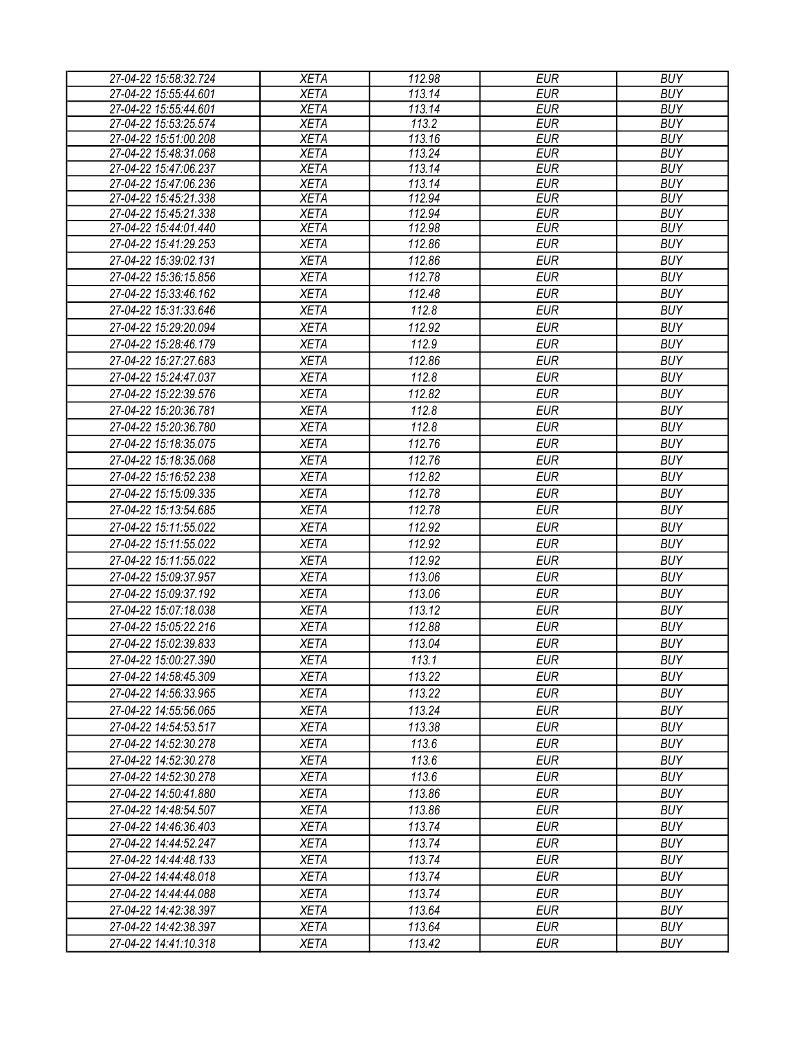| 27-04-22 15:58:32.724 | <b>XETA</b> | 112.98 | <b>EUR</b> | <b>BUY</b> |
|-----------------------|-------------|--------|------------|------------|
| 27-04-22 15:55:44.601 | <b>XETA</b> | 113.14 | <b>EUR</b> | <b>BUY</b> |
| 27-04-22 15:55:44.601 | <b>XETA</b> | 113.14 | <b>EUR</b> | <b>BUY</b> |
| 27-04-22 15:53:25.574 | <b>XETA</b> | 113.2  | <b>EUR</b> | <b>BUY</b> |
| 27-04-22 15:51:00.208 | <b>XETA</b> | 113.16 | <b>EUR</b> | <b>BUY</b> |
| 27-04-22 15:48:31.068 | <b>XETA</b> | 113.24 | <b>EUR</b> | <b>BUY</b> |
| 27-04-22 15:47:06.237 | <b>XETA</b> | 113.14 | <b>EUR</b> | <b>BUY</b> |
| 27-04-22 15:47:06.236 | <b>XETA</b> | 113.14 | <b>EUR</b> | <b>BUY</b> |
| 27-04-22 15:45:21.338 | <b>XETA</b> | 112.94 | <b>EUR</b> | <b>BUY</b> |
| 27-04-22 15:45:21.338 | <b>XETA</b> | 112.94 | <b>EUR</b> | <b>BUY</b> |
| 27-04-22 15:44:01.440 | <b>XETA</b> | 112.98 | <b>EUR</b> | <b>BUY</b> |
| 27-04-22 15:41:29.253 | <b>XETA</b> | 112.86 | <b>EUR</b> | <b>BUY</b> |
| 27-04-22 15:39:02.131 | <b>XETA</b> | 112.86 | <b>EUR</b> | <b>BUY</b> |
| 27-04-22 15:36:15.856 | <b>XETA</b> | 112.78 | <b>EUR</b> | <b>BUY</b> |
| 27-04-22 15:33:46.162 | <b>XETA</b> | 112.48 | <b>EUR</b> | <b>BUY</b> |
| 27-04-22 15:31:33.646 | <b>XETA</b> | 112.8  | <b>EUR</b> | <b>BUY</b> |
| 27-04-22 15:29:20.094 | <b>XETA</b> | 112.92 | <b>EUR</b> | <b>BUY</b> |
| 27-04-22 15:28:46.179 | <b>XETA</b> | 112.9  | <b>EUR</b> | <b>BUY</b> |
| 27-04-22 15:27:27.683 | <b>XETA</b> | 112.86 | <b>EUR</b> | <b>BUY</b> |
| 27-04-22 15:24:47.037 | <b>XETA</b> | 112.8  | <b>EUR</b> | <b>BUY</b> |
| 27-04-22 15:22:39.576 | <b>XETA</b> | 112.82 | <b>EUR</b> | <b>BUY</b> |
| 27-04-22 15:20:36.781 | <b>XETA</b> | 112.8  | <b>EUR</b> | <b>BUY</b> |
| 27-04-22 15:20:36.780 | <b>XETA</b> | 112.8  | <b>EUR</b> | <b>BUY</b> |
| 27-04-22 15:18:35.075 | <b>XETA</b> | 112.76 | <b>EUR</b> | <b>BUY</b> |
| 27-04-22 15:18:35.068 |             |        | <b>EUR</b> | <b>BUY</b> |
|                       | <b>XETA</b> | 112.76 |            |            |
| 27-04-22 15:16:52.238 | <b>XETA</b> | 112.82 | <b>EUR</b> | <b>BUY</b> |
| 27-04-22 15:15:09.335 | <b>XETA</b> | 112.78 | <b>EUR</b> | <b>BUY</b> |
| 27-04-22 15:13:54.685 | <b>XETA</b> | 112.78 | <b>EUR</b> | <b>BUY</b> |
| 27-04-22 15:11:55.022 | <b>XETA</b> | 112.92 | <b>EUR</b> | <b>BUY</b> |
| 27-04-22 15:11:55.022 | <b>XETA</b> | 112.92 | <b>EUR</b> | <b>BUY</b> |
| 27-04-22 15:11:55.022 | <b>XETA</b> | 112.92 | <b>EUR</b> | <b>BUY</b> |
| 27-04-22 15:09:37.957 | <b>XETA</b> | 113.06 | <b>EUR</b> | <b>BUY</b> |
| 27-04-22 15:09:37.192 | <b>XETA</b> | 113.06 | <b>EUR</b> | <b>BUY</b> |
| 27-04-22 15:07:18.038 | <b>XETA</b> | 113.12 | <b>EUR</b> | <b>BUY</b> |
| 27-04-22 15:05:22.216 | <b>XETA</b> | 112.88 | <b>EUR</b> | <b>BUY</b> |
| 27-04-22 15:02:39.833 | <b>XETA</b> | 113.04 | <b>EUR</b> | <b>BUY</b> |
| 27-04-22 15:00:27.390 | <b>XETA</b> | 113.1  | <b>EUR</b> | <b>BUY</b> |
| 27-04-22 14:58:45.309 | <b>XETA</b> | 113.22 | EUR        | <b>BUY</b> |
| 27-04-22 14:56:33.965 | <b>XETA</b> | 113.22 | <b>EUR</b> | <b>BUY</b> |
| 27-04-22 14:55:56.065 | <b>XETA</b> | 113.24 | <b>EUR</b> | <b>BUY</b> |
| 27-04-22 14:54:53.517 | <b>XETA</b> | 113.38 | <b>EUR</b> | <b>BUY</b> |
|                       |             |        | <b>EUR</b> | <b>BUY</b> |
| 27-04-22 14:52:30.278 | <b>XETA</b> | 113.6  |            |            |
| 27-04-22 14:52:30.278 | <b>XETA</b> | 113.6  | <b>EUR</b> | <b>BUY</b> |
| 27-04-22 14:52:30.278 | <b>XETA</b> | 113.6  | <b>EUR</b> | <b>BUY</b> |
| 27-04-22 14:50:41.880 | <b>XETA</b> | 113.86 | <b>EUR</b> | <b>BUY</b> |
| 27-04-22 14:48:54.507 | <b>XETA</b> | 113.86 | <b>EUR</b> | <b>BUY</b> |
| 27-04-22 14:46:36.403 | <b>XETA</b> | 113.74 | EUR        | <b>BUY</b> |
| 27-04-22 14:44:52.247 | <b>XETA</b> | 113.74 | <b>EUR</b> | <b>BUY</b> |
| 27-04-22 14:44:48.133 | <b>XETA</b> | 113.74 | <b>EUR</b> | <b>BUY</b> |
| 27-04-22 14:44:48.018 | <b>XETA</b> | 113.74 | <b>EUR</b> | <b>BUY</b> |
| 27-04-22 14:44:44.088 | <b>XETA</b> | 113.74 | <b>EUR</b> | <b>BUY</b> |
| 27-04-22 14:42:38.397 | <b>XETA</b> | 113.64 | <b>EUR</b> | <b>BUY</b> |
| 27-04-22 14:42:38.397 | <b>XETA</b> | 113.64 | <b>EUR</b> | <b>BUY</b> |
| 27-04-22 14:41:10.318 | <b>XETA</b> | 113.42 | <b>EUR</b> | <b>BUY</b> |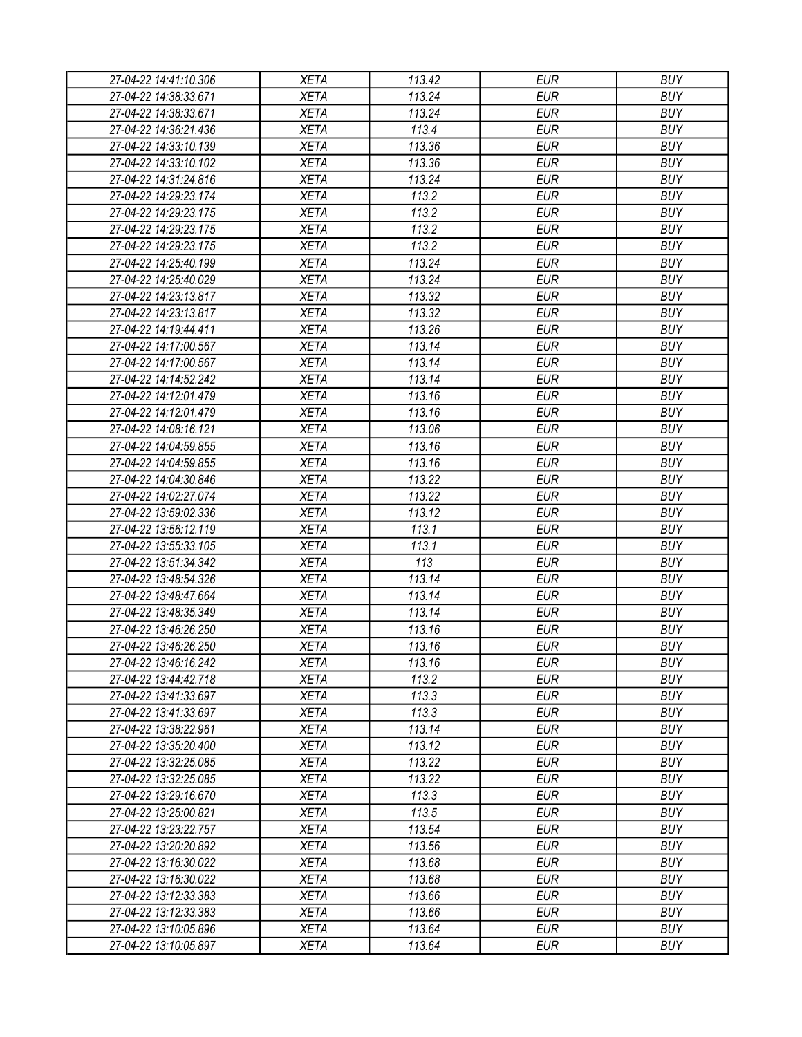| 27-04-22 14:41:10.306                          | XETA                       | 113.42 | EUR                      | <b>BUY</b> |
|------------------------------------------------|----------------------------|--------|--------------------------|------------|
| 27-04-22 14:38:33.671                          | <b>XETA</b>                | 113.24 | <b>EUR</b>               | <b>BUY</b> |
| 27-04-22 14:38:33.671                          | <b>XETA</b>                | 113.24 | <b>EUR</b>               | <b>BUY</b> |
| 27-04-22 14:36:21.436                          | <b>XETA</b>                | 113.4  | <b>EUR</b>               | <b>BUY</b> |
| 27-04-22 14:33:10.139                          | <b>XETA</b>                | 113.36 | <b>EUR</b>               | <b>BUY</b> |
| 27-04-22 14:33:10.102                          | <b>XETA</b>                | 113.36 | <b>EUR</b>               | <b>BUY</b> |
| 27-04-22 14:31:24.816                          | <b>XETA</b>                | 113.24 | <b>EUR</b>               | <b>BUY</b> |
| 27-04-22 14:29:23.174                          | <b>XETA</b>                | 113.2  | <b>EUR</b>               | <b>BUY</b> |
| 27-04-22 14:29:23.175                          | <b>XETA</b>                | 113.2  | <b>EUR</b>               | <b>BUY</b> |
| 27-04-22 14:29:23.175                          | <b>XETA</b>                | 113.2  | <b>EUR</b>               | <b>BUY</b> |
| 27-04-22 14:29:23.175                          | <b>XETA</b>                | 113.2  | <b>EUR</b>               | <b>BUY</b> |
| 27-04-22 14:25:40.199                          | <b>XETA</b>                | 113.24 | <b>EUR</b>               | <b>BUY</b> |
| 27-04-22 14:25:40.029                          | <b>XETA</b>                | 113.24 | <b>EUR</b>               | <b>BUY</b> |
| 27-04-22 14:23:13.817                          | <b>XETA</b>                | 113.32 | <b>EUR</b>               | <b>BUY</b> |
| 27-04-22 14:23:13.817                          | <b>XETA</b>                | 113.32 | <b>EUR</b>               | <b>BUY</b> |
| 27-04-22 14:19:44.411                          | <b>XETA</b>                | 113.26 | <b>EUR</b>               | <b>BUY</b> |
|                                                |                            | 113.14 |                          | <b>BUY</b> |
| 27-04-22 14:17:00.567<br>27-04-22 14:17:00.567 | <b>XETA</b><br><b>XETA</b> | 113.14 | <b>EUR</b><br><b>EUR</b> | <b>BUY</b> |
| 27-04-22 14:14:52.242                          |                            |        |                          |            |
|                                                | <b>XETA</b>                | 113.14 | <b>EUR</b>               | <b>BUY</b> |
| 27-04-22 14:12:01.479                          | <b>XETA</b>                | 113.16 | <b>EUR</b>               | <b>BUY</b> |
| 27-04-22 14:12:01.479                          | <b>XETA</b>                | 113.16 | <b>EUR</b>               | <b>BUY</b> |
| 27-04-22 14:08:16.121                          | <b>XETA</b>                | 113.06 | <b>EUR</b>               | <b>BUY</b> |
| 27-04-22 14:04:59.855                          | <b>XETA</b>                | 113.16 | <b>EUR</b>               | <b>BUY</b> |
| 27-04-22 14:04:59.855                          | <b>XETA</b>                | 113.16 | <b>EUR</b>               | <b>BUY</b> |
| 27-04-22 14:04:30.846                          | <b>XETA</b>                | 113.22 | <b>EUR</b>               | <b>BUY</b> |
| 27-04-22 14:02:27.074                          | <b>XETA</b>                | 113.22 | EUR                      | <b>BUY</b> |
| 27-04-22 13:59:02.336                          | <b>XETA</b>                | 113.12 | <b>EUR</b>               | <b>BUY</b> |
| 27-04-22 13:56:12.119                          | <b>XETA</b>                | 113.1  | <b>EUR</b>               | <b>BUY</b> |
| 27-04-22 13:55:33.105                          | <b>XETA</b>                | 113.1  | <b>EUR</b>               | <b>BUY</b> |
| 27-04-22 13:51:34.342                          | <b>XETA</b>                | 113    | <b>EUR</b>               | <b>BUY</b> |
| 27-04-22 13:48:54.326                          | <b>XETA</b>                | 113.14 | <b>EUR</b>               | <b>BUY</b> |
| 27-04-22 13:48:47.664                          | <b>XETA</b>                | 113.14 | <b>EUR</b>               | <b>BUY</b> |
| 27-04-22 13:48:35.349                          | <b>XETA</b>                | 113.14 | <b>EUR</b>               | <b>BUY</b> |
| 27-04-22 13:46:26.250                          | <b>XETA</b>                | 113.16 | <b>EUR</b>               | <b>BUY</b> |
| 27-04-22 13:46:26.250                          | <b>XETA</b>                | 113.16 | <b>EUR</b>               | <b>BUY</b> |
| 27-04-22 13:46:16.242                          | <b>XETA</b>                | 113.16 | <b>EUR</b>               | <b>BUY</b> |
| 27-04-22 13:44:42.718                          | <b>XETA</b>                | 113.2  | <b>EUR</b>               | <b>BUY</b> |
| 27-04-22 13:41:33.697                          | <b>XETA</b>                | 113.3  | <b>EUR</b>               | <b>BUY</b> |
| 27-04-22 13:41:33.697                          | <b>XETA</b>                | 113.3  | <b>EUR</b>               | <b>BUY</b> |
| 27-04-22 13:38:22.961                          | <b>XETA</b>                | 113.14 | <b>EUR</b>               | <b>BUY</b> |
| 27-04-22 13:35:20.400                          | <b>XETA</b>                | 113.12 | <b>EUR</b>               | <b>BUY</b> |
| 27-04-22 13:32:25.085                          | <b>XETA</b>                | 113.22 | <b>EUR</b>               | <b>BUY</b> |
| 27-04-22 13:32:25.085                          | <b>XETA</b>                | 113.22 | <b>EUR</b>               | <b>BUY</b> |
| 27-04-22 13:29:16.670                          | <b>XETA</b>                | 113.3  | <b>EUR</b>               | <b>BUY</b> |
| 27-04-22 13:25:00.821                          | <b>XETA</b>                | 113.5  | <b>EUR</b>               | <b>BUY</b> |
| 27-04-22 13:23:22.757                          | <b>XETA</b>                | 113.54 | <b>EUR</b>               | <b>BUY</b> |
| 27-04-22 13:20:20.892                          | <b>XETA</b>                | 113.56 | <b>EUR</b>               | <b>BUY</b> |
| 27-04-22 13:16:30.022                          | <b>XETA</b>                | 113.68 | <b>EUR</b>               | <b>BUY</b> |
| 27-04-22 13:16:30.022                          | <b>XETA</b>                | 113.68 | <b>EUR</b>               | <b>BUY</b> |
| 27-04-22 13:12:33.383                          | <b>XETA</b>                | 113.66 | <b>EUR</b>               | <b>BUY</b> |
| 27-04-22 13:12:33.383                          | <b>XETA</b>                | 113.66 | EUR                      | <b>BUY</b> |
| 27-04-22 13:10:05.896                          | <b>XETA</b>                | 113.64 | <b>EUR</b>               | <b>BUY</b> |
| 27-04-22 13:10:05.897                          | <b>XETA</b>                | 113.64 | <b>EUR</b>               | <b>BUY</b> |
|                                                |                            |        |                          |            |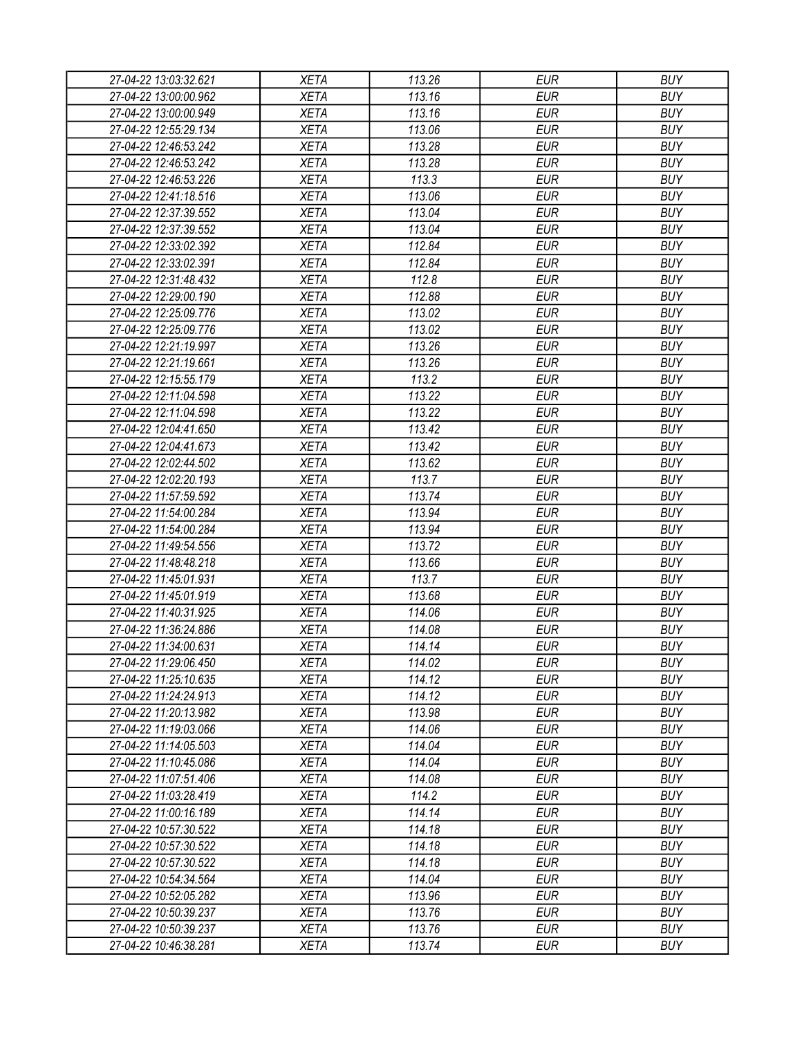| 27-04-22 13:03:32.621 | <b>XETA</b> | 113.26 | EUR        | <b>BUY</b> |
|-----------------------|-------------|--------|------------|------------|
| 27-04-22 13:00:00.962 | <b>XETA</b> | 113.16 | <b>EUR</b> | <b>BUY</b> |
| 27-04-22 13:00:00.949 | <b>XETA</b> | 113.16 | <b>EUR</b> | <b>BUY</b> |
| 27-04-22 12:55:29.134 | <b>XETA</b> | 113.06 | <b>EUR</b> | <b>BUY</b> |
| 27-04-22 12:46:53.242 | <b>XETA</b> | 113.28 | <b>EUR</b> | <b>BUY</b> |
| 27-04-22 12:46:53.242 | <b>XETA</b> | 113.28 | <b>EUR</b> | <b>BUY</b> |
| 27-04-22 12:46:53.226 | <b>XETA</b> | 113.3  | <b>EUR</b> | <b>BUY</b> |
| 27-04-22 12:41:18.516 | <b>XETA</b> | 113.06 | <b>EUR</b> | <b>BUY</b> |
| 27-04-22 12:37:39.552 | <b>XETA</b> | 113.04 | <b>EUR</b> | <b>BUY</b> |
| 27-04-22 12:37:39.552 | <b>XETA</b> | 113.04 | <b>EUR</b> | <b>BUY</b> |
| 27-04-22 12:33:02.392 | <b>XETA</b> | 112.84 | <b>EUR</b> | <b>BUY</b> |
| 27-04-22 12:33:02.391 | <b>XETA</b> | 112.84 | <b>EUR</b> | <b>BUY</b> |
| 27-04-22 12:31:48.432 | <b>XETA</b> | 112.8  | <b>EUR</b> | <b>BUY</b> |
| 27-04-22 12:29:00.190 | <b>XETA</b> | 112.88 | <b>EUR</b> | <b>BUY</b> |
| 27-04-22 12:25:09.776 | <b>XETA</b> | 113.02 | <b>EUR</b> | <b>BUY</b> |
| 27-04-22 12:25:09.776 | <b>XETA</b> | 113.02 | <b>EUR</b> | <b>BUY</b> |
| 27-04-22 12:21:19.997 | <b>XETA</b> | 113.26 | <b>EUR</b> | <b>BUY</b> |
| 27-04-22 12:21:19.661 | <b>XETA</b> | 113.26 | <b>EUR</b> | <b>BUY</b> |
| 27-04-22 12:15:55.179 | <b>XETA</b> | 113.2  | <b>EUR</b> | <b>BUY</b> |
| 27-04-22 12:11:04.598 | <b>XETA</b> | 113.22 | <b>EUR</b> | <b>BUY</b> |
| 27-04-22 12:11:04.598 | <b>XETA</b> | 113.22 | <b>EUR</b> | <b>BUY</b> |
| 27-04-22 12:04:41.650 | <b>XETA</b> | 113.42 | <b>EUR</b> | <b>BUY</b> |
| 27-04-22 12:04:41.673 | <b>XETA</b> | 113.42 | <b>EUR</b> | <b>BUY</b> |
| 27-04-22 12:02:44.502 | <b>XETA</b> | 113.62 | <b>EUR</b> | <b>BUY</b> |
| 27-04-22 12:02:20.193 | <b>XETA</b> | 113.7  | <b>EUR</b> | <b>BUY</b> |
| 27-04-22 11:57:59.592 | <b>XETA</b> | 113.74 | <b>EUR</b> | <b>BUY</b> |
| 27-04-22 11:54:00.284 | <b>XETA</b> | 113.94 | <b>EUR</b> | <b>BUY</b> |
| 27-04-22 11:54:00.284 | <b>XETA</b> | 113.94 | <b>EUR</b> | <b>BUY</b> |
| 27-04-22 11:49:54.556 | <b>XETA</b> | 113.72 | <b>EUR</b> | <b>BUY</b> |
| 27-04-22 11:48:48.218 | <b>XETA</b> | 113.66 | <b>EUR</b> | <b>BUY</b> |
| 27-04-22 11:45:01.931 | <b>XETA</b> | 113.7  | <b>EUR</b> | <b>BUY</b> |
| 27-04-22 11:45:01.919 | <b>XETA</b> | 113.68 | <b>EUR</b> | <b>BUY</b> |
| 27-04-22 11:40:31.925 | <b>XETA</b> | 114.06 | <b>EUR</b> | <b>BUY</b> |
| 27-04-22 11:36:24.886 | <b>XETA</b> | 114.08 | <b>EUR</b> | <b>BUY</b> |
| 27-04-22 11:34:00.631 |             |        | <b>EUR</b> | <b>BUY</b> |
|                       | <b>XETA</b> | 114.14 |            |            |
| 27-04-22 11:29:06.450 | <b>XETA</b> | 114.02 | <b>EUR</b> | <b>BUY</b> |
| 27-04-22 11:25:10.635 | <b>XETA</b> | 114.12 | <b>EUR</b> | <b>BUY</b> |
| 27-04-22 11:24:24.913 | <b>XETA</b> | 114.12 | <b>EUR</b> | <b>BUY</b> |
| 27-04-22 11:20:13.982 | <b>XETA</b> | 113.98 | <b>EUR</b> | <b>BUY</b> |
| 27-04-22 11:19:03.066 | <b>XETA</b> | 114.06 | <b>EUR</b> | <b>BUY</b> |
| 27-04-22 11:14:05.503 | <b>XETA</b> | 114.04 | <b>EUR</b> | <b>BUY</b> |
| 27-04-22 11:10:45.086 | <b>XETA</b> | 114.04 | <b>EUR</b> | <b>BUY</b> |
| 27-04-22 11:07:51.406 | <b>XETA</b> | 114.08 | <b>EUR</b> | <b>BUY</b> |
| 27-04-22 11:03:28.419 | <b>XETA</b> | 114.2  | <b>EUR</b> | <b>BUY</b> |
| 27-04-22 11:00:16.189 | <b>XETA</b> | 114.14 | <b>EUR</b> | <b>BUY</b> |
| 27-04-22 10:57:30.522 | <b>XETA</b> | 114.18 | <b>EUR</b> | <b>BUY</b> |
| 27-04-22 10:57:30.522 | <b>XETA</b> | 114.18 | <b>EUR</b> | <b>BUY</b> |
| 27-04-22 10:57:30.522 | <b>XETA</b> | 114.18 | <b>EUR</b> | <b>BUY</b> |
| 27-04-22 10:54:34.564 | <b>XETA</b> | 114.04 | <b>EUR</b> | <b>BUY</b> |
| 27-04-22 10:52:05.282 | <b>XETA</b> | 113.96 | <b>EUR</b> | <b>BUY</b> |
| 27-04-22 10:50:39.237 | <b>XETA</b> | 113.76 | EUR        | <b>BUY</b> |
| 27-04-22 10:50:39.237 | <b>XETA</b> | 113.76 | <b>EUR</b> | <b>BUY</b> |
| 27-04-22 10:46:38.281 | <b>XETA</b> | 113.74 | <b>EUR</b> | <b>BUY</b> |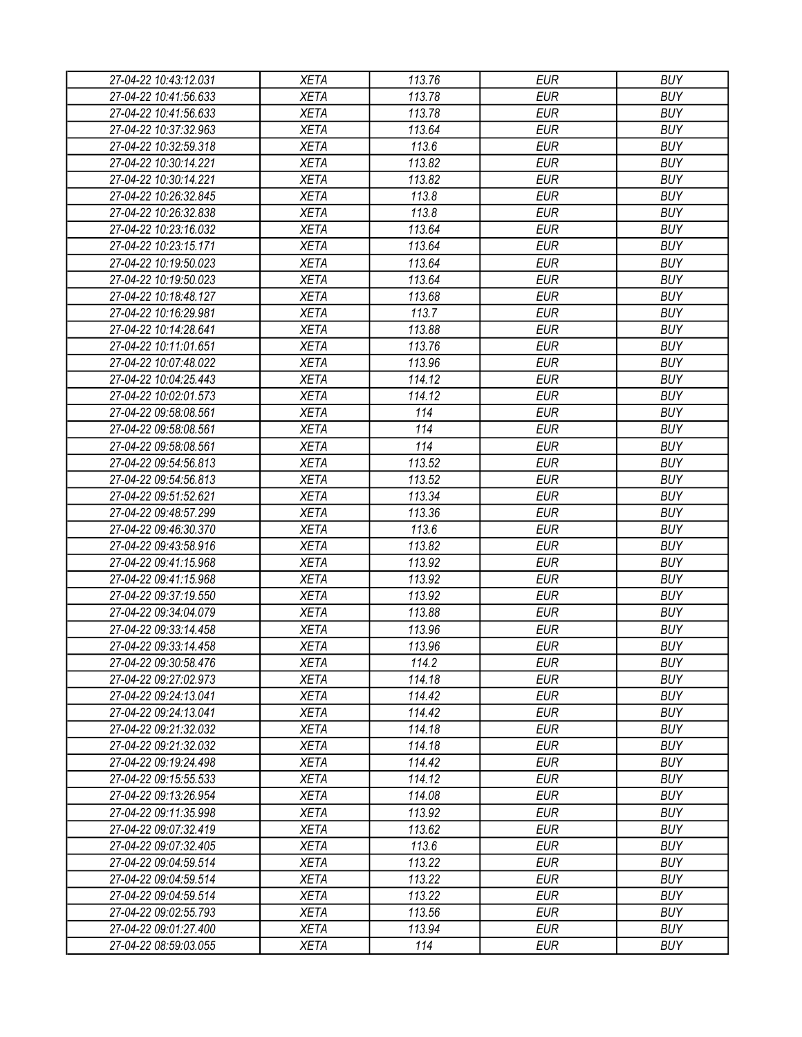| 27-04-22 10:43:12.031                          | <b>XETA</b> | 113.76 | <b>EUR</b> | <b>BUY</b> |
|------------------------------------------------|-------------|--------|------------|------------|
| 27-04-22 10:41:56.633                          | <b>XETA</b> | 113.78 | <b>EUR</b> | <b>BUY</b> |
| 27-04-22 10:41:56.633                          | <b>XETA</b> | 113.78 | <b>EUR</b> | <b>BUY</b> |
| 27-04-22 10:37:32.963                          | <b>XETA</b> | 113.64 | <b>EUR</b> | <b>BUY</b> |
| 27-04-22 10:32:59.318                          | <b>XETA</b> | 113.6  | <b>EUR</b> | <b>BUY</b> |
| 27-04-22 10:30:14.221                          | <b>XETA</b> | 113.82 | <b>EUR</b> | <b>BUY</b> |
| 27-04-22 10:30:14.221                          | <b>XETA</b> | 113.82 | <b>EUR</b> | <b>BUY</b> |
| 27-04-22 10:26:32.845                          | <b>XETA</b> | 113.8  | <b>EUR</b> | <b>BUY</b> |
| 27-04-22 10:26:32.838                          | <b>XETA</b> | 113.8  | <b>EUR</b> | <b>BUY</b> |
| 27-04-22 10:23:16.032                          | <b>XETA</b> | 113.64 | <b>EUR</b> | <b>BUY</b> |
| 27-04-22 10:23:15.171                          | <b>XETA</b> | 113.64 | <b>EUR</b> | <b>BUY</b> |
| 27-04-22 10:19:50.023                          | <b>XETA</b> | 113.64 | <b>EUR</b> | <b>BUY</b> |
| 27-04-22 10:19:50.023                          | <b>XETA</b> | 113.64 | <b>EUR</b> | <b>BUY</b> |
| 27-04-22 10:18:48.127                          | <b>XETA</b> | 113.68 | <b>EUR</b> | <b>BUY</b> |
| 27-04-22 10:16:29.981                          | <b>XETA</b> | 113.7  | <b>EUR</b> | <b>BUY</b> |
| 27-04-22 10:14:28.641                          | <b>XETA</b> | 113.88 | <b>EUR</b> | <b>BUY</b> |
| 27-04-22 10:11:01.651                          | <b>XETA</b> | 113.76 | <b>EUR</b> | <b>BUY</b> |
| 27-04-22 10:07:48.022                          | <b>XETA</b> | 113.96 | <b>EUR</b> | <b>BUY</b> |
| 27-04-22 10:04:25.443                          | <b>XETA</b> | 114.12 | <b>EUR</b> | <b>BUY</b> |
| 27-04-22 10:02:01.573                          | <b>XETA</b> | 114.12 | <b>EUR</b> | <b>BUY</b> |
| 27-04-22 09:58:08.561                          | <b>XETA</b> | 114    | <b>EUR</b> | <b>BUY</b> |
| 27-04-22 09:58:08.561                          | <b>XETA</b> | 114    | <b>EUR</b> | <b>BUY</b> |
| 27-04-22 09:58:08.561                          | <b>XETA</b> | 114    | <b>EUR</b> | <b>BUY</b> |
| 27-04-22 09:54:56.813                          | <b>XETA</b> | 113.52 | <b>EUR</b> | <b>BUY</b> |
| 27-04-22 09:54:56.813                          | <b>XETA</b> | 113.52 | <b>EUR</b> | <b>BUY</b> |
| 27-04-22 09:51:52.621                          | <b>XETA</b> | 113.34 | <b>EUR</b> | <b>BUY</b> |
| 27-04-22 09:48:57.299                          | <b>XETA</b> | 113.36 | <b>EUR</b> | <b>BUY</b> |
| 27-04-22 09:46:30.370                          | <b>XETA</b> | 113.6  | <b>EUR</b> | <b>BUY</b> |
| 27-04-22 09:43:58.916                          | <b>XETA</b> | 113.82 | <b>EUR</b> | <b>BUY</b> |
| 27-04-22 09:41:15.968                          | <b>XETA</b> | 113.92 | <b>EUR</b> | <b>BUY</b> |
| 27-04-22 09:41:15.968                          | <b>XETA</b> | 113.92 | <b>EUR</b> | <b>BUY</b> |
| 27-04-22 09:37:19.550                          | <b>XETA</b> | 113.92 | <b>EUR</b> | <b>BUY</b> |
| 27-04-22 09:34:04.079                          | <b>XETA</b> | 113.88 | <b>EUR</b> | <b>BUY</b> |
| 27-04-22 09:33:14.458                          | <b>XETA</b> | 113.96 | <b>EUR</b> | <b>BUY</b> |
|                                                |             | 113.96 | <b>EUR</b> | <b>BUY</b> |
| 27-04-22 09:33:14.458<br>27-04-22 09:30:58.476 | <b>XETA</b> |        |            |            |
|                                                | <b>XETA</b> | 114.2  | <b>EUR</b> | <b>BUY</b> |
| 27-04-22 09:27:02.973                          | <b>XETA</b> | 114.18 | <b>EUR</b> | <b>BUY</b> |
| 27-04-22 09:24:13.041                          | <b>XETA</b> | 114.42 | <b>EUR</b> | <b>BUY</b> |
| 27-04-22 09:24:13.041                          | <b>XETA</b> | 114.42 | <b>EUR</b> | <b>BUY</b> |
| 27-04-22 09:21:32.032                          | <b>XETA</b> | 114.18 | <b>EUR</b> | <b>BUY</b> |
| 27-04-22 09:21:32.032                          | <b>XETA</b> | 114.18 | <b>EUR</b> | <b>BUY</b> |
| 27-04-22 09:19:24.498                          | <b>XETA</b> | 114.42 | <b>EUR</b> | <b>BUY</b> |
| 27-04-22 09:15:55.533                          | <b>XETA</b> | 114.12 | <b>EUR</b> | <b>BUY</b> |
| 27-04-22 09:13:26.954                          | <b>XETA</b> | 114.08 | <b>EUR</b> | <b>BUY</b> |
| 27-04-22 09:11:35.998                          | <b>XETA</b> | 113.92 | <b>EUR</b> | <b>BUY</b> |
| 27-04-22 09:07:32.419                          | <b>XETA</b> | 113.62 | <b>EUR</b> | <b>BUY</b> |
| 27-04-22 09:07:32.405                          | <b>XETA</b> | 113.6  | <b>EUR</b> | <b>BUY</b> |
| 27-04-22 09:04:59.514                          | <b>XETA</b> | 113.22 | <b>EUR</b> | <b>BUY</b> |
| 27-04-22 09:04:59.514                          | <b>XETA</b> | 113.22 | <b>EUR</b> | <b>BUY</b> |
| 27-04-22 09:04:59.514                          | <b>XETA</b> | 113.22 | <b>EUR</b> | <b>BUY</b> |
| 27-04-22 09:02:55.793                          | <b>XETA</b> | 113.56 | <b>EUR</b> | <b>BUY</b> |
| 27-04-22 09:01:27.400                          | <b>XETA</b> | 113.94 | <b>EUR</b> | <b>BUY</b> |
| 27-04-22 08:59:03.055                          | <b>XETA</b> | 114    | <b>EUR</b> | <b>BUY</b> |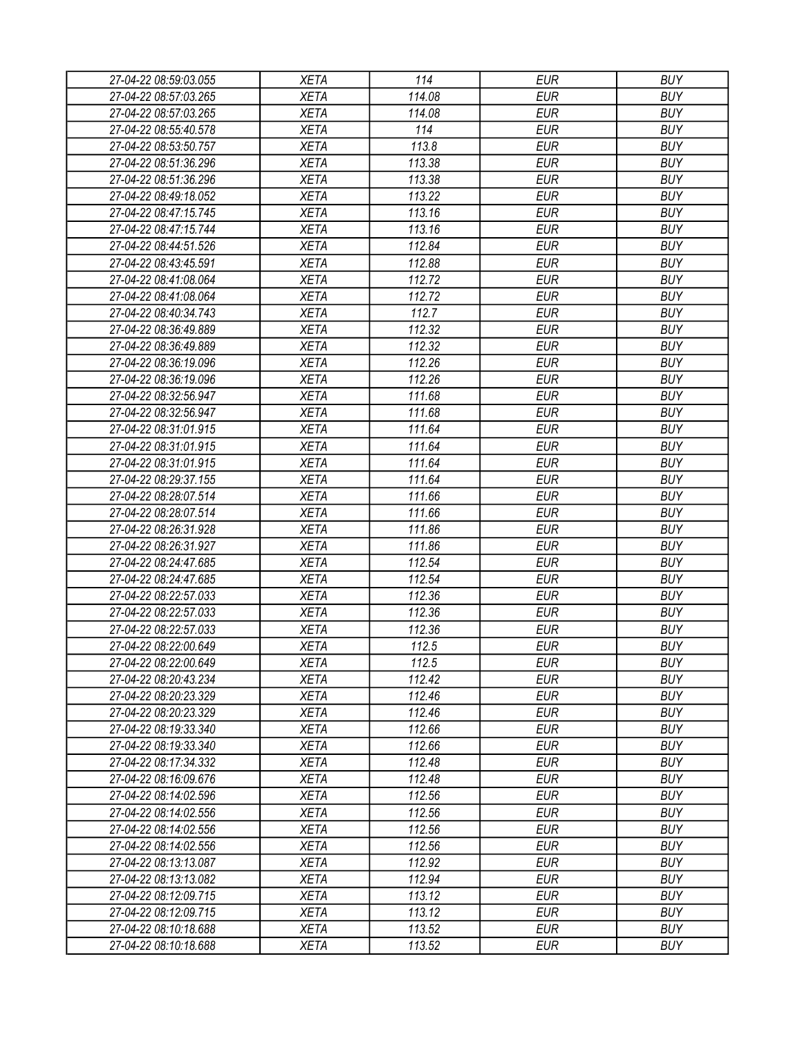| 27-04-22 08:59:03.055 | <b>XETA</b> | 114    | <b>EUR</b> | <b>BUY</b> |
|-----------------------|-------------|--------|------------|------------|
| 27-04-22 08:57:03.265 | <b>XETA</b> | 114.08 | <b>EUR</b> | <b>BUY</b> |
| 27-04-22 08:57:03.265 | <b>XETA</b> | 114.08 | <b>EUR</b> | <b>BUY</b> |
| 27-04-22 08:55:40.578 | <b>XETA</b> | 114    | <b>EUR</b> | <b>BUY</b> |
| 27-04-22 08:53:50.757 | <b>XETA</b> | 113.8  | <b>EUR</b> | <b>BUY</b> |
| 27-04-22 08:51:36.296 | <b>XETA</b> | 113.38 | <b>EUR</b> | <b>BUY</b> |
| 27-04-22 08:51:36.296 | <b>XETA</b> | 113.38 | <b>EUR</b> | <b>BUY</b> |
| 27-04-22 08:49:18.052 | <b>XETA</b> | 113.22 | <b>EUR</b> | <b>BUY</b> |
| 27-04-22 08:47:15.745 | <b>XETA</b> | 113.16 | <b>EUR</b> | <b>BUY</b> |
| 27-04-22 08:47:15.744 | <b>XETA</b> | 113.16 | <b>EUR</b> | <b>BUY</b> |
| 27-04-22 08:44:51.526 | <b>XETA</b> | 112.84 | <b>EUR</b> | <b>BUY</b> |
| 27-04-22 08:43:45.591 | <b>XETA</b> | 112.88 | <b>EUR</b> | <b>BUY</b> |
| 27-04-22 08:41:08.064 | <b>XETA</b> | 112.72 | <b>EUR</b> | <b>BUY</b> |
| 27-04-22 08:41:08.064 | <b>XETA</b> | 112.72 | <b>EUR</b> | <b>BUY</b> |
| 27-04-22 08:40:34.743 | <b>XETA</b> | 112.7  | <b>EUR</b> | <b>BUY</b> |
| 27-04-22 08:36:49.889 | <b>XETA</b> | 112.32 | <b>EUR</b> | <b>BUY</b> |
| 27-04-22 08:36:49.889 | <b>XETA</b> | 112.32 | <b>EUR</b> | <b>BUY</b> |
| 27-04-22 08:36:19.096 | <b>XETA</b> | 112.26 | <b>EUR</b> | <b>BUY</b> |
| 27-04-22 08:36:19.096 | <b>XETA</b> | 112.26 | <b>EUR</b> | <b>BUY</b> |
| 27-04-22 08:32:56.947 | <b>XETA</b> | 111.68 | <b>EUR</b> | <b>BUY</b> |
| 27-04-22 08:32:56.947 | <b>XETA</b> | 111.68 | <b>EUR</b> | <b>BUY</b> |
| 27-04-22 08:31:01.915 | <b>XETA</b> | 111.64 | <b>EUR</b> | <b>BUY</b> |
| 27-04-22 08:31:01.915 | <b>XETA</b> | 111.64 | <b>EUR</b> | <b>BUY</b> |
| 27-04-22 08:31:01.915 | <b>XETA</b> | 111.64 | <b>EUR</b> | <b>BUY</b> |
| 27-04-22 08:29:37.155 | <b>XETA</b> | 111.64 | <b>EUR</b> | <b>BUY</b> |
| 27-04-22 08:28:07.514 | <b>XETA</b> | 111.66 | <b>EUR</b> | <b>BUY</b> |
| 27-04-22 08:28:07.514 | <b>XETA</b> | 111.66 | <b>EUR</b> | <b>BUY</b> |
| 27-04-22 08:26:31.928 | <b>XETA</b> | 111.86 | <b>EUR</b> | <b>BUY</b> |
| 27-04-22 08:26:31.927 | <b>XETA</b> | 111.86 | <b>EUR</b> | <b>BUY</b> |
| 27-04-22 08:24:47.685 | <b>XETA</b> | 112.54 | <b>EUR</b> | <b>BUY</b> |
| 27-04-22 08:24:47.685 | <b>XETA</b> | 112.54 | <b>EUR</b> | <b>BUY</b> |
| 27-04-22 08:22:57.033 | <b>XETA</b> | 112.36 | <b>EUR</b> | <b>BUY</b> |
| 27-04-22 08:22:57.033 | <b>XETA</b> | 112.36 | <b>EUR</b> | <b>BUY</b> |
| 27-04-22 08:22:57.033 | <b>XETA</b> | 112.36 | <b>EUR</b> | <b>BUY</b> |
| 27-04-22 08:22:00.649 | <b>XETA</b> | 112.5  | <b>EUR</b> | <b>BUY</b> |
| 27-04-22 08:22:00.649 | <b>XETA</b> | 112.5  | <b>EUR</b> | <b>BUY</b> |
| 27-04-22 08:20:43.234 | <b>XETA</b> | 112.42 | <b>EUR</b> | <b>BUY</b> |
| 27-04-22 08:20:23.329 | <b>XETA</b> | 112.46 | <b>EUR</b> | <b>BUY</b> |
| 27-04-22 08:20:23.329 | <b>XETA</b> | 112.46 | <b>EUR</b> | <b>BUY</b> |
| 27-04-22 08:19:33.340 | <b>XETA</b> | 112.66 | <b>EUR</b> | <b>BUY</b> |
| 27-04-22 08:19:33.340 | <b>XETA</b> | 112.66 | <b>EUR</b> | <b>BUY</b> |
| 27-04-22 08:17:34.332 | <b>XETA</b> | 112.48 | <b>EUR</b> | <b>BUY</b> |
| 27-04-22 08:16:09.676 | <b>XETA</b> | 112.48 | <b>EUR</b> | <b>BUY</b> |
| 27-04-22 08:14:02.596 | <b>XETA</b> | 112.56 | <b>EUR</b> | <b>BUY</b> |
| 27-04-22 08:14:02.556 | <b>XETA</b> | 112.56 | <b>EUR</b> | <b>BUY</b> |
| 27-04-22 08:14:02.556 | <b>XETA</b> | 112.56 | <b>EUR</b> | <b>BUY</b> |
| 27-04-22 08:14:02.556 | <b>XETA</b> | 112.56 | <b>EUR</b> | <b>BUY</b> |
| 27-04-22 08:13:13.087 | <b>XETA</b> | 112.92 | <b>EUR</b> | <b>BUY</b> |
| 27-04-22 08:13:13.082 | <b>XETA</b> | 112.94 | <b>EUR</b> | <b>BUY</b> |
| 27-04-22 08:12:09.715 | <b>XETA</b> | 113.12 | <b>EUR</b> | <b>BUY</b> |
| 27-04-22 08:12:09.715 | <b>XETA</b> | 113.12 | <b>EUR</b> | <b>BUY</b> |
| 27-04-22 08:10:18.688 | <b>XETA</b> | 113.52 | <b>EUR</b> | <b>BUY</b> |
| 27-04-22 08:10:18.688 | <b>XETA</b> | 113.52 | <b>EUR</b> | <b>BUY</b> |
|                       |             |        |            |            |